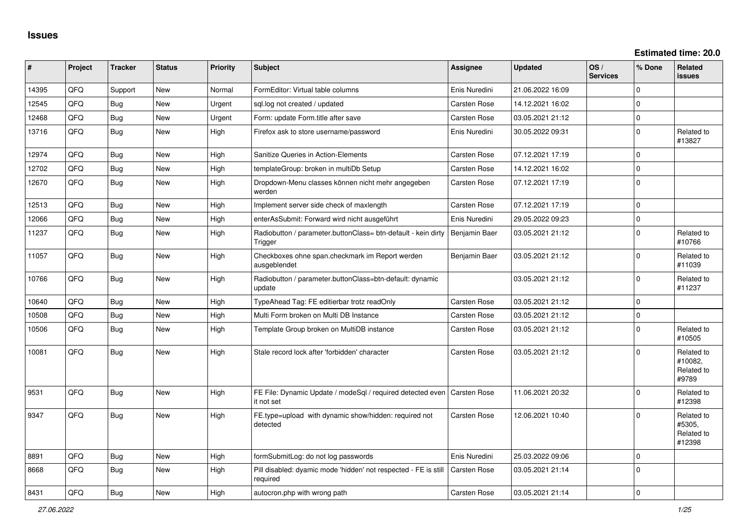| ∣#    | Project | <b>Tracker</b> | <b>Status</b> | <b>Priority</b> | <b>Subject</b>                                                                          | Assignee            | <b>Updated</b>   | OS/<br><b>Services</b> | % Done   | Related<br>issues                            |
|-------|---------|----------------|---------------|-----------------|-----------------------------------------------------------------------------------------|---------------------|------------------|------------------------|----------|----------------------------------------------|
| 14395 | QFQ     | Support        | New           | Normal          | FormEditor: Virtual table columns                                                       | Enis Nuredini       | 21.06.2022 16:09 |                        | $\Omega$ |                                              |
| 12545 | QFQ.    | Bug            | <b>New</b>    | Urgent          | sgl.log not created / updated                                                           | <b>Carsten Rose</b> | 14.12.2021 16:02 |                        | $\Omega$ |                                              |
| 12468 | QFQ     | Bug            | <b>New</b>    | Urgent          | Form: update Form.title after save                                                      | Carsten Rose        | 03.05.2021 21:12 |                        | $\Omega$ |                                              |
| 13716 | QFQ     | Bug            | New           | High            | Firefox ask to store username/password                                                  | Enis Nuredini       | 30.05.2022 09:31 |                        | $\Omega$ | Related to<br>#13827                         |
| 12974 | QFQ     | Bug            | New           | High            | Sanitize Queries in Action-Elements                                                     | Carsten Rose        | 07.12.2021 17:19 |                        | 0        |                                              |
| 12702 | QFQ     | <b>Bug</b>     | New           | High            | templateGroup: broken in multiDb Setup                                                  | Carsten Rose        | 14.12.2021 16:02 |                        | 0        |                                              |
| 12670 | QFQ     | Bug            | <b>New</b>    | High            | Dropdown-Menu classes können nicht mehr angegeben<br>werden                             | Carsten Rose        | 07.12.2021 17:19 |                        | $\Omega$ |                                              |
| 12513 | QFQ     | <b>Bug</b>     | New           | High            | Implement server side check of maxlength                                                | Carsten Rose        | 07.12.2021 17:19 |                        | $\Omega$ |                                              |
| 12066 | QFQ     | Bug            | New           | High            | enterAsSubmit: Forward wird nicht ausgeführt                                            | Enis Nuredini       | 29.05.2022 09:23 |                        | $\Omega$ |                                              |
| 11237 | QFQ     | <b>Bug</b>     | New           | High            | Radiobutton / parameter.buttonClass= btn-default - kein dirty<br>Trigger                | Benjamin Baer       | 03.05.2021 21:12 |                        | 0        | Related to<br>#10766                         |
| 11057 | QFQ     | Bug            | New           | High            | Checkboxes ohne span.checkmark im Report werden<br>ausgeblendet                         | Benjamin Baer       | 03.05.2021 21:12 |                        | 0        | Related to<br>#11039                         |
| 10766 | QFQ     | Bug            | <b>New</b>    | High            | Radiobutton / parameter.buttonClass=btn-default: dynamic<br>update                      |                     | 03.05.2021 21:12 |                        | 0        | Related to<br>#11237                         |
| 10640 | QFQ     | Bug            | <b>New</b>    | High            | TypeAhead Tag: FE editierbar trotz readOnly                                             | Carsten Rose        | 03.05.2021 21:12 |                        | $\Omega$ |                                              |
| 10508 | QFQ     | Bug            | New           | High            | Multi Form broken on Multi DB Instance                                                  | <b>Carsten Rose</b> | 03.05.2021 21:12 |                        | $\Omega$ |                                              |
| 10506 | QFQ     | Bug            | New           | High            | Template Group broken on MultiDB instance                                               | Carsten Rose        | 03.05.2021 21:12 |                        | $\Omega$ | Related to<br>#10505                         |
| 10081 | QFQ     | Bug            | New           | High            | Stale record lock after 'forbidden' character                                           | Carsten Rose        | 03.05.2021 21:12 |                        | $\Omega$ | Related to<br>#10082,<br>Related to<br>#9789 |
| 9531  | QFQ     | <b>Bug</b>     | <b>New</b>    | High            | FE File: Dynamic Update / modeSql / required detected even   Carsten Rose<br>it not set |                     | 11.06.2021 20:32 |                        | $\Omega$ | Related to<br>#12398                         |
| 9347  | QFQ     | <b>Bug</b>     | New           | High            | FE.type=upload with dynamic show/hidden: required not<br>detected                       | Carsten Rose        | 12.06.2021 10:40 |                        | $\Omega$ | Related to<br>#5305,<br>Related to<br>#12398 |
| 8891  | QFQ     | <b>Bug</b>     | New           | High            | formSubmitLog: do not log passwords                                                     | Enis Nuredini       | 25.03.2022 09:06 |                        | $\Omega$ |                                              |
| 8668  | QFQ     | Bug            | New           | High            | Pill disabled: dyamic mode 'hidden' not respected - FE is still<br>required             | Carsten Rose        | 03.05.2021 21:14 |                        | $\Omega$ |                                              |
| 8431  | QFQ     | Bug            | New           | High            | autocron.php with wrong path                                                            | Carsten Rose        | 03.05.2021 21:14 |                        | $\Omega$ |                                              |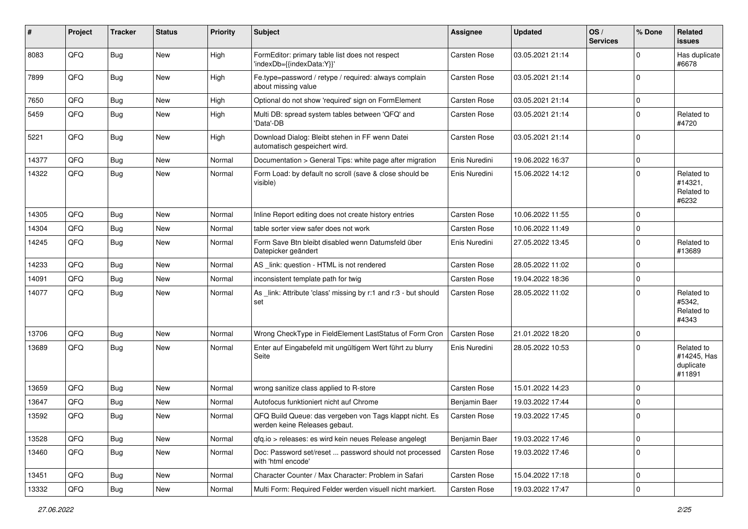| #     | Project | <b>Tracker</b> | <b>Status</b> | <b>Priority</b> | <b>Subject</b>                                                                           | <b>Assignee</b> | <b>Updated</b>   | OS/<br><b>Services</b> | % Done      | <b>Related</b><br>issues                         |
|-------|---------|----------------|---------------|-----------------|------------------------------------------------------------------------------------------|-----------------|------------------|------------------------|-------------|--------------------------------------------------|
| 8083  | QFQ     | Bug            | New           | High            | FormEditor: primary table list does not respect<br>'indexDb={{indexData:Y}}'             | Carsten Rose    | 03.05.2021 21:14 |                        | $\Omega$    | Has duplicate<br>#6678                           |
| 7899  | QFQ     | Bug            | New           | High            | Fe.type=password / retype / required: always complain<br>about missing value             | Carsten Rose    | 03.05.2021 21:14 |                        | $\Omega$    |                                                  |
| 7650  | QFQ     | Bug            | <b>New</b>    | High            | Optional do not show 'required' sign on FormElement                                      | Carsten Rose    | 03.05.2021 21:14 |                        | $\Omega$    |                                                  |
| 5459  | QFQ     | Bug            | <b>New</b>    | High            | Multi DB: spread system tables between 'QFQ' and<br>'Data'-DB                            | Carsten Rose    | 03.05.2021 21:14 |                        | $\Omega$    | Related to<br>#4720                              |
| 5221  | QFQ     | <b>Bug</b>     | New           | High            | Download Dialog: Bleibt stehen in FF wenn Datei<br>automatisch gespeichert wird.         | Carsten Rose    | 03.05.2021 21:14 |                        | $\Omega$    |                                                  |
| 14377 | QFQ     | <b>Bug</b>     | <b>New</b>    | Normal          | Documentation > General Tips: white page after migration                                 | Enis Nuredini   | 19.06.2022 16:37 |                        | $\mathbf 0$ |                                                  |
| 14322 | QFQ     | <b>Bug</b>     | <b>New</b>    | Normal          | Form Load: by default no scroll (save & close should be<br>visible)                      | Enis Nuredini   | 15.06.2022 14:12 |                        | $\Omega$    | Related to<br>#14321,<br>Related to<br>#6232     |
| 14305 | QFQ     | Bug            | New           | Normal          | Inline Report editing does not create history entries                                    | Carsten Rose    | 10.06.2022 11:55 |                        | $\Omega$    |                                                  |
| 14304 | QFQ     | Bug            | <b>New</b>    | Normal          | table sorter view safer does not work                                                    | Carsten Rose    | 10.06.2022 11:49 |                        | $\Omega$    |                                                  |
| 14245 | QFQ     | Bug            | <b>New</b>    | Normal          | Form Save Btn bleibt disabled wenn Datumsfeld über<br>Datepicker geändert                | Enis Nuredini   | 27.05.2022 13:45 |                        | $\Omega$    | Related to<br>#13689                             |
| 14233 | QFQ     | Bug            | <b>New</b>    | Normal          | AS _link: question - HTML is not rendered                                                | Carsten Rose    | 28.05.2022 11:02 |                        | $\Omega$    |                                                  |
| 14091 | QFQ     | <b>Bug</b>     | <b>New</b>    | Normal          | inconsistent template path for twig                                                      | Carsten Rose    | 19.04.2022 18:36 |                        | $\Omega$    |                                                  |
| 14077 | QFQ     | Bug            | New           | Normal          | As _link: Attribute 'class' missing by r:1 and r:3 - but should<br>set                   | Carsten Rose    | 28.05.2022 11:02 |                        | $\Omega$    | Related to<br>#5342,<br>Related to<br>#4343      |
| 13706 | QFQ     | Bug            | <b>New</b>    | Normal          | Wrong CheckType in FieldElement LastStatus of Form Cron                                  | Carsten Rose    | 21.01.2022 18:20 |                        | $\Omega$    |                                                  |
| 13689 | QFQ     | Bug            | New           | Normal          | Enter auf Eingabefeld mit ungültigem Wert führt zu blurry<br>Seite                       | Enis Nuredini   | 28.05.2022 10:53 |                        | $\Omega$    | Related to<br>#14245, Has<br>duplicate<br>#11891 |
| 13659 | QFQ     | Bug            | New           | Normal          | wrong sanitize class applied to R-store                                                  | Carsten Rose    | 15.01.2022 14:23 |                        | $\Omega$    |                                                  |
| 13647 | QFQ     | <b>Bug</b>     | <b>New</b>    | Normal          | Autofocus funktioniert nicht auf Chrome                                                  | Benjamin Baer   | 19.03.2022 17:44 |                        | $\Omega$    |                                                  |
| 13592 | QFQ     | Bug            | <b>New</b>    | Normal          | QFQ Build Queue: das vergeben von Tags klappt nicht. Es<br>werden keine Heleases gebaut. | Carsten Rose    | 19.03.2022 17:45 |                        | $\Omega$    |                                                  |
| 13528 | QFQ     | <b>Bug</b>     | New           | Normal          | gfg.io > releases: es wird kein neues Release angelegt                                   | Benjamin Baer   | 19.03.2022 17:46 |                        | 0           |                                                  |
| 13460 | QFQ     | <b>Bug</b>     | New           | Normal          | Doc: Password set/reset  password should not processed<br>with 'html encode'             | Carsten Rose    | 19.03.2022 17:46 |                        | $\mathbf 0$ |                                                  |
| 13451 | QFQ     | <b>Bug</b>     | New           | Normal          | Character Counter / Max Character: Problem in Safari                                     | Carsten Rose    | 15.04.2022 17:18 |                        | $\mathbf 0$ |                                                  |
| 13332 | QFQ     | Bug            | New           | Normal          | Multi Form: Required Felder werden visuell nicht markiert.                               | Carsten Rose    | 19.03.2022 17:47 |                        | $\pmb{0}$   |                                                  |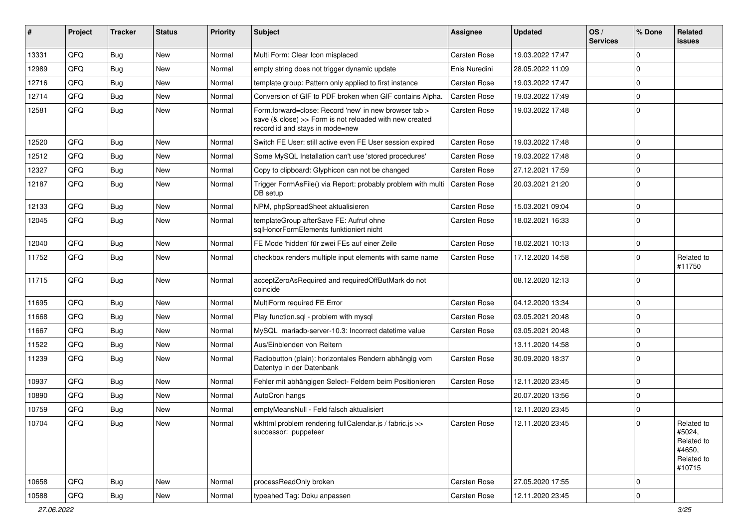| #     | Project | <b>Tracker</b> | <b>Status</b> | <b>Priority</b> | Subject                                                                                                                                             | Assignee      | <b>Updated</b>   | OS/<br><b>Services</b> | % Done      | Related<br>issues                                                    |
|-------|---------|----------------|---------------|-----------------|-----------------------------------------------------------------------------------------------------------------------------------------------------|---------------|------------------|------------------------|-------------|----------------------------------------------------------------------|
| 13331 | QFQ     | Bug            | New           | Normal          | Multi Form: Clear Icon misplaced                                                                                                                    | Carsten Rose  | 19.03.2022 17:47 |                        | $\Omega$    |                                                                      |
| 12989 | QFQ     | Bug            | New           | Normal          | empty string does not trigger dynamic update                                                                                                        | Enis Nuredini | 28.05.2022 11:09 |                        | $\Omega$    |                                                                      |
| 12716 | QFQ     | <b>Bug</b>     | New           | Normal          | template group: Pattern only applied to first instance                                                                                              | Carsten Rose  | 19.03.2022 17:47 |                        | $\Omega$    |                                                                      |
| 12714 | QFQ     | Bug            | <b>New</b>    | Normal          | Conversion of GIF to PDF broken when GIF contains Alpha.                                                                                            | Carsten Rose  | 19.03.2022 17:49 |                        | $\Omega$    |                                                                      |
| 12581 | QFQ     | Bug            | New           | Normal          | Form.forward=close: Record 'new' in new browser tab ><br>save (& close) >> Form is not reloaded with new created<br>record id and stays in mode=new | Carsten Rose  | 19.03.2022 17:48 |                        | $\Omega$    |                                                                      |
| 12520 | QFQ     | Bug            | <b>New</b>    | Normal          | Switch FE User: still active even FE User session expired                                                                                           | Carsten Rose  | 19.03.2022 17:48 |                        | $\Omega$    |                                                                      |
| 12512 | QFQ     | Bug            | <b>New</b>    | Normal          | Some MySQL Installation can't use 'stored procedures'                                                                                               | Carsten Rose  | 19.03.2022 17:48 |                        | $\Omega$    |                                                                      |
| 12327 | QFQ     | Bug            | New           | Normal          | Copy to clipboard: Glyphicon can not be changed                                                                                                     | Carsten Rose  | 27.12.2021 17:59 |                        | $\Omega$    |                                                                      |
| 12187 | QFQ     | <b>Bug</b>     | New           | Normal          | Trigger FormAsFile() via Report: probably problem with multi<br>DB setup                                                                            | Carsten Rose  | 20.03.2021 21:20 |                        | $\Omega$    |                                                                      |
| 12133 | QFQ     | Bug            | New           | Normal          | NPM, phpSpreadSheet aktualisieren                                                                                                                   | Carsten Rose  | 15.03.2021 09:04 |                        | $\Omega$    |                                                                      |
| 12045 | QFQ     | <b>Bug</b>     | New           | Normal          | templateGroup afterSave FE: Aufruf ohne<br>sglHonorFormElements funktioniert nicht                                                                  | Carsten Rose  | 18.02.2021 16:33 |                        | $\Omega$    |                                                                      |
| 12040 | QFQ     | Bug            | <b>New</b>    | Normal          | FE Mode 'hidden' für zwei FEs auf einer Zeile                                                                                                       | Carsten Rose  | 18.02.2021 10:13 |                        | $\Omega$    |                                                                      |
| 11752 | QFQ     | Bug            | <b>New</b>    | Normal          | checkbox renders multiple input elements with same name                                                                                             | Carsten Rose  | 17.12.2020 14:58 |                        | $\Omega$    | Related to<br>#11750                                                 |
| 11715 | QFQ     | <b>Bug</b>     | New           | Normal          | acceptZeroAsRequired and requiredOffButMark do not<br>coincide                                                                                      |               | 08.12.2020 12:13 |                        | $\Omega$    |                                                                      |
| 11695 | QFQ     | <b>Bug</b>     | <b>New</b>    | Normal          | MultiForm required FE Error                                                                                                                         | Carsten Rose  | 04.12.2020 13:34 |                        | $\Omega$    |                                                                      |
| 11668 | QFQ     | <b>Bug</b>     | New           | Normal          | Play function.sql - problem with mysql                                                                                                              | Carsten Rose  | 03.05.2021 20:48 |                        | $\Omega$    |                                                                      |
| 11667 | QFQ     | Bug            | <b>New</b>    | Normal          | MySQL mariadb-server-10.3: Incorrect datetime value                                                                                                 | Carsten Rose  | 03.05.2021 20:48 |                        | $\Omega$    |                                                                      |
| 11522 | QFQ     | Bug            | <b>New</b>    | Normal          | Aus/Einblenden von Reitern                                                                                                                          |               | 13.11.2020 14:58 |                        | $\Omega$    |                                                                      |
| 11239 | QFQ     | <b>Bug</b>     | New           | Normal          | Radiobutton (plain): horizontales Rendern abhängig vom<br>Datentyp in der Datenbank                                                                 | Carsten Rose  | 30.09.2020 18:37 |                        | $\Omega$    |                                                                      |
| 10937 | QFQ     | <b>Bug</b>     | <b>New</b>    | Normal          | Fehler mit abhängigen Select- Feldern beim Positionieren                                                                                            | Carsten Rose  | 12.11.2020 23:45 |                        | $\Omega$    |                                                                      |
| 10890 | QFQ     | Bug            | <b>New</b>    | Normal          | AutoCron hangs                                                                                                                                      |               | 20.07.2020 13:56 |                        | $\Omega$    |                                                                      |
| 10759 | QFQ     | Bug            | New           | Normal          | emptyMeansNull - Feld falsch aktualisiert                                                                                                           |               | 12.11.2020 23:45 |                        | $\Omega$    |                                                                      |
| 10704 | QFQ     | <b>Bug</b>     | New           | Normal          | wkhtml problem rendering fullCalendar.js / fabric.js >><br>successor: puppeteer                                                                     | Carsten Rose  | 12.11.2020 23:45 |                        |             | Related to<br>#5024,<br>Related to<br>#4650,<br>Related to<br>#10715 |
| 10658 | QFQ     | <b>Bug</b>     | New           | Normal          | processReadOnly broken                                                                                                                              | Carsten Rose  | 27.05.2020 17:55 |                        | $\mathbf 0$ |                                                                      |
| 10588 | QFQ     | <b>Bug</b>     | New           | Normal          | typeahed Tag: Doku anpassen                                                                                                                         | Carsten Rose  | 12.11.2020 23:45 |                        | $\pmb{0}$   |                                                                      |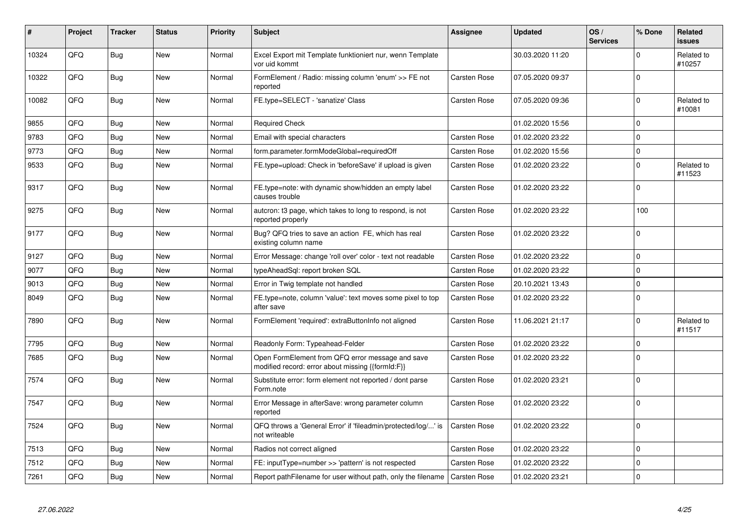| #     | Project | <b>Tracker</b> | <b>Status</b> | <b>Priority</b> | <b>Subject</b>                                                                                        | <b>Assignee</b>     | <b>Updated</b>   | OS/<br><b>Services</b> | % Done      | <b>Related</b><br><b>issues</b> |
|-------|---------|----------------|---------------|-----------------|-------------------------------------------------------------------------------------------------------|---------------------|------------------|------------------------|-------------|---------------------------------|
| 10324 | QFQ     | <b>Bug</b>     | <b>New</b>    | Normal          | Excel Export mit Template funktioniert nur, wenn Template<br>vor uid kommt                            |                     | 30.03.2020 11:20 |                        | $\Omega$    | Related to<br>#10257            |
| 10322 | QFQ     | Bug            | New           | Normal          | FormElement / Radio: missing column 'enum' >> FE not<br>reported                                      | <b>Carsten Rose</b> | 07.05.2020 09:37 |                        | $\Omega$    |                                 |
| 10082 | QFQ     | <b>Bug</b>     | <b>New</b>    | Normal          | FE.type=SELECT - 'sanatize' Class                                                                     | Carsten Rose        | 07.05.2020 09:36 |                        | $\mathbf 0$ | Related to<br>#10081            |
| 9855  | QFQ     | Bug            | <b>New</b>    | Normal          | <b>Required Check</b>                                                                                 |                     | 01.02.2020 15:56 |                        | $\Omega$    |                                 |
| 9783  | QFQ     | <b>Bug</b>     | <b>New</b>    | Normal          | Email with special characters                                                                         | Carsten Rose        | 01.02.2020 23:22 |                        | $\mathbf 0$ |                                 |
| 9773  | QFQ     | <b>Bug</b>     | New           | Normal          | form.parameter.formModeGlobal=requiredOff                                                             | <b>Carsten Rose</b> | 01.02.2020 15:56 |                        | $\mathbf 0$ |                                 |
| 9533  | QFQ     | Bug            | <b>New</b>    | Normal          | FE.type=upload: Check in 'beforeSave' if upload is given                                              | <b>Carsten Rose</b> | 01.02.2020 23:22 |                        | $\mathbf 0$ | Related to<br>#11523            |
| 9317  | QFQ     | <b>Bug</b>     | <b>New</b>    | Normal          | FE.type=note: with dynamic show/hidden an empty label<br>causes trouble                               | Carsten Rose        | 01.02.2020 23:22 |                        | $\mathbf 0$ |                                 |
| 9275  | QFQ     | Bug            | <b>New</b>    | Normal          | autcron: t3 page, which takes to long to respond, is not<br>reported properly                         | Carsten Rose        | 01.02.2020 23:22 |                        | 100         |                                 |
| 9177  | QFQ     | Bug            | <b>New</b>    | Normal          | Bug? QFQ tries to save an action FE, which has real<br>existing column name                           | <b>Carsten Rose</b> | 01.02.2020 23:22 |                        | $\mathbf 0$ |                                 |
| 9127  | QFQ     | Bug            | New           | Normal          | Error Message: change 'roll over' color - text not readable                                           | <b>Carsten Rose</b> | 01.02.2020 23:22 |                        | $\mathbf 0$ |                                 |
| 9077  | QFQ     | <b>Bug</b>     | <b>New</b>    | Normal          | typeAheadSql: report broken SQL                                                                       | Carsten Rose        | 01.02.2020 23:22 |                        | $\mathbf 0$ |                                 |
| 9013  | QFQ     | Bug            | <b>New</b>    | Normal          | Error in Twig template not handled                                                                    | <b>Carsten Rose</b> | 20.10.2021 13:43 |                        | $\mathbf 0$ |                                 |
| 8049  | QFQ     | <b>Bug</b>     | <b>New</b>    | Normal          | FE.type=note, column 'value': text moves some pixel to top<br>after save                              | Carsten Rose        | 01.02.2020 23:22 |                        | $\Omega$    |                                 |
| 7890  | QFQ     | <b>Bug</b>     | New           | Normal          | FormElement 'required': extraButtonInfo not aligned                                                   | Carsten Rose        | 11.06.2021 21:17 |                        | $\Omega$    | Related to<br>#11517            |
| 7795  | QFQ     | <b>Bug</b>     | <b>New</b>    | Normal          | Readonly Form: Typeahead-Felder                                                                       | Carsten Rose        | 01.02.2020 23:22 |                        | $\mathbf 0$ |                                 |
| 7685  | QFQ     | Bug            | <b>New</b>    | Normal          | Open FormElement from QFQ error message and save<br>modified record: error about missing {{formId:F}} | Carsten Rose        | 01.02.2020 23:22 |                        | $\Omega$    |                                 |
| 7574  | QFQ     | <b>Bug</b>     | <b>New</b>    | Normal          | Substitute error: form element not reported / dont parse<br>Form.note                                 | Carsten Rose        | 01.02.2020 23:21 |                        | $\mathbf 0$ |                                 |
| 7547  | QFQ     | Bug            | New           | Normal          | Error Message in afterSave: wrong parameter column<br>reported                                        | Carsten Rose        | 01.02.2020 23:22 |                        | $\mathbf 0$ |                                 |
| 7524  | QFQ     | <b>Bug</b>     | <b>New</b>    | Normal          | QFQ throws a 'General Error' if 'fileadmin/protected/log/' is<br>not writeable                        | Carsten Rose        | 01.02.2020 23:22 |                        | $\mathbf 0$ |                                 |
| 7513  | QFQ     | <b>Bug</b>     | <b>New</b>    | Normal          | Radios not correct aligned                                                                            | Carsten Rose        | 01.02.2020 23:22 |                        | $\Omega$    |                                 |
| 7512  | QFQ     | Bug            | <b>New</b>    | Normal          | FE: inputType=number >> 'pattern' is not respected                                                    | Carsten Rose        | 01.02.2020 23:22 |                        | $\mathbf 0$ |                                 |
| 7261  | QFQ     | Bug            | <b>New</b>    | Normal          | Report pathFilename for user without path, only the filename   Carsten Rose                           |                     | 01.02.2020 23:21 |                        | $\Omega$    |                                 |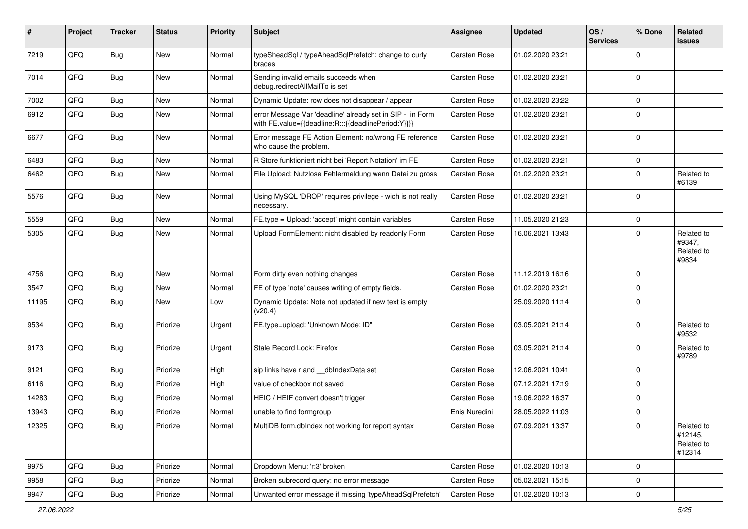| #     | Project    | <b>Tracker</b> | <b>Status</b> | <b>Priority</b> | <b>Subject</b>                                                                                                   | Assignee      | <b>Updated</b>   | OS/<br><b>Services</b> | % Done      | Related<br>issues                             |
|-------|------------|----------------|---------------|-----------------|------------------------------------------------------------------------------------------------------------------|---------------|------------------|------------------------|-------------|-----------------------------------------------|
| 7219  | QFQ        | Bug            | <b>New</b>    | Normal          | typeSheadSql / typeAheadSqlPrefetch: change to curly<br>braces                                                   | Carsten Rose  | 01.02.2020 23:21 |                        | $\mathbf 0$ |                                               |
| 7014  | QFQ        | <b>Bug</b>     | New           | Normal          | Sending invalid emails succeeds when<br>debug.redirectAllMailTo is set                                           | Carsten Rose  | 01.02.2020 23:21 |                        | $\mathbf 0$ |                                               |
| 7002  | QFQ        | Bug            | <b>New</b>    | Normal          | Dynamic Update: row does not disappear / appear                                                                  | Carsten Rose  | 01.02.2020 23:22 |                        | $\mathbf 0$ |                                               |
| 6912  | QFQ        | Bug            | New           | Normal          | error Message Var 'deadline' already set in SIP - in Form<br>with FE.value={{deadline:R:::{{deadlinePeriod:Y}}}} | Carsten Rose  | 01.02.2020 23:21 |                        | $\Omega$    |                                               |
| 6677  | QFQ        | <b>Bug</b>     | <b>New</b>    | Normal          | Error message FE Action Element: no/wrong FE reference<br>who cause the problem.                                 | Carsten Rose  | 01.02.2020 23:21 |                        | $\mathbf 0$ |                                               |
| 6483  | QFQ        | Bug            | <b>New</b>    | Normal          | R Store funktioniert nicht bei 'Report Notation' im FE                                                           | Carsten Rose  | 01.02.2020 23:21 |                        | $\mathbf 0$ |                                               |
| 6462  | QFQ        | Bug            | <b>New</b>    | Normal          | File Upload: Nutzlose Fehlermeldung wenn Datei zu gross                                                          | Carsten Rose  | 01.02.2020 23:21 |                        | $\mathbf 0$ | Related to<br>#6139                           |
| 5576  | QFQ        | Bug            | <b>New</b>    | Normal          | Using MySQL 'DROP' requires privilege - wich is not really<br>necessary.                                         | Carsten Rose  | 01.02.2020 23:21 |                        | $\mathbf 0$ |                                               |
| 5559  | QFQ        | Bug            | <b>New</b>    | Normal          | FE.type = Upload: 'accept' might contain variables                                                               | Carsten Rose  | 11.05.2020 21:23 |                        | $\pmb{0}$   |                                               |
| 5305  | QFQ        | Bug            | <b>New</b>    | Normal          | Upload FormElement: nicht disabled by readonly Form                                                              | Carsten Rose  | 16.06.2021 13:43 |                        | $\mathbf 0$ | Related to<br>#9347,<br>Related to<br>#9834   |
| 4756  | QFQ        | Bug            | <b>New</b>    | Normal          | Form dirty even nothing changes                                                                                  | Carsten Rose  | 11.12.2019 16:16 |                        | $\mathbf 0$ |                                               |
| 3547  | QFQ        | Bug            | New           | Normal          | FE of type 'note' causes writing of empty fields.                                                                | Carsten Rose  | 01.02.2020 23:21 |                        | $\mathbf 0$ |                                               |
| 11195 | QFQ        | <b>Bug</b>     | <b>New</b>    | Low             | Dynamic Update: Note not updated if new text is empty<br>(v20.4)                                                 |               | 25.09.2020 11:14 |                        | $\mathbf 0$ |                                               |
| 9534  | QFQ        | Bug            | Priorize      | Urgent          | FE.type=upload: 'Unknown Mode: ID"                                                                               | Carsten Rose  | 03.05.2021 21:14 |                        | $\mathbf 0$ | Related to<br>#9532                           |
| 9173  | QFQ        | <b>Bug</b>     | Priorize      | Urgent          | Stale Record Lock: Firefox                                                                                       | Carsten Rose  | 03.05.2021 21:14 |                        | $\mathbf 0$ | Related to<br>#9789                           |
| 9121  | QFQ        | <b>Bug</b>     | Priorize      | High            | sip links have r and __dbIndexData set                                                                           | Carsten Rose  | 12.06.2021 10:41 |                        | $\mathbf 0$ |                                               |
| 6116  | QFQ        | <b>Bug</b>     | Priorize      | High            | value of checkbox not saved                                                                                      | Carsten Rose  | 07.12.2021 17:19 |                        | $\mathbf 0$ |                                               |
| 14283 | QFQ        | <b>Bug</b>     | Priorize      | Normal          | HEIC / HEIF convert doesn't trigger                                                                              | Carsten Rose  | 19.06.2022 16:37 |                        | $\mathbf 0$ |                                               |
| 13943 | QFQ        | Bug            | Priorize      | Normal          | unable to find formgroup                                                                                         | Enis Nuredini | 28.05.2022 11:03 |                        | $\mathbf 0$ |                                               |
| 12325 | <b>QFQ</b> | Bug            | Priorize      | Normal          | MultiDB form.dblndex not working for report syntax                                                               | Carsten Rose  | 07.09.2021 13:37 |                        | 0           | Related to<br>#12145,<br>Related to<br>#12314 |
| 9975  | QFQ        | Bug            | Priorize      | Normal          | Dropdown Menu: 'r:3' broken                                                                                      | Carsten Rose  | 01.02.2020 10:13 |                        | $\mathbf 0$ |                                               |
| 9958  | QFQ        | <b>Bug</b>     | Priorize      | Normal          | Broken subrecord query: no error message                                                                         | Carsten Rose  | 05.02.2021 15:15 |                        | $\mathbf 0$ |                                               |
| 9947  | QFG        | Bug            | Priorize      | Normal          | Unwanted error message if missing 'typeAheadSqlPrefetch'                                                         | Carsten Rose  | 01.02.2020 10:13 |                        | $\pmb{0}$   |                                               |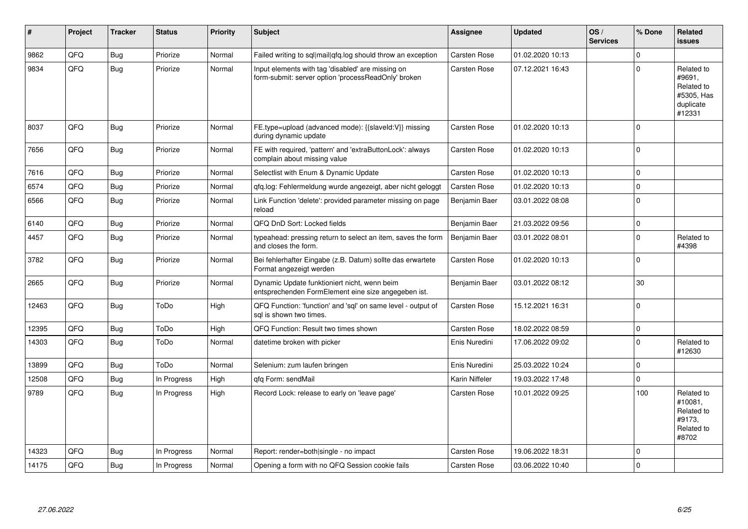| #     | Project | <b>Tracker</b> | <b>Status</b> | <b>Priority</b> | <b>Subject</b>                                                                                           | Assignee            | <b>Updated</b>   | OS/<br><b>Services</b> | % Done      | Related<br>issues                                                       |
|-------|---------|----------------|---------------|-----------------|----------------------------------------------------------------------------------------------------------|---------------------|------------------|------------------------|-------------|-------------------------------------------------------------------------|
| 9862  | QFQ     | Bug            | Priorize      | Normal          | Failed writing to sql mail qfq.log should throw an exception                                             | Carsten Rose        | 01.02.2020 10:13 |                        | $\Omega$    |                                                                         |
| 9834  | QFQ     | Bug            | Priorize      | Normal          | Input elements with tag 'disabled' are missing on<br>form-submit: server option 'processReadOnly' broken | <b>Carsten Rose</b> | 07.12.2021 16:43 |                        | $\mathbf 0$ | Related to<br>#9691,<br>Related to<br>#5305, Has<br>duplicate<br>#12331 |
| 8037  | QFQ     | Bug            | Priorize      | Normal          | FE.type=upload (advanced mode): {{slaveld:V}} missing<br>during dynamic update                           | Carsten Rose        | 01.02.2020 10:13 |                        | $\Omega$    |                                                                         |
| 7656  | QFQ     | <b>Bug</b>     | Priorize      | Normal          | FE with required, 'pattern' and 'extraButtonLock': always<br>complain about missing value                | Carsten Rose        | 01.02.2020 10:13 |                        | $\mathbf 0$ |                                                                         |
| 7616  | QFQ     | Bug            | Priorize      | Normal          | Selectlist with Enum & Dynamic Update                                                                    | <b>Carsten Rose</b> | 01.02.2020 10:13 |                        | $\mathbf 0$ |                                                                         |
| 6574  | QFQ     | Bug            | Priorize      | Normal          | gfg.log: Fehlermeldung wurde angezeigt, aber nicht geloggt                                               | <b>Carsten Rose</b> | 01.02.2020 10:13 |                        | $\pmb{0}$   |                                                                         |
| 6566  | QFQ     | <b>Bug</b>     | Priorize      | Normal          | Link Function 'delete': provided parameter missing on page<br>reload                                     | Benjamin Baer       | 03.01.2022 08:08 |                        | $\pmb{0}$   |                                                                         |
| 6140  | QFQ     | Bug            | Priorize      | Normal          | QFQ DnD Sort: Locked fields                                                                              | Benjamin Baer       | 21.03.2022 09:56 |                        | $\mathbf 0$ |                                                                         |
| 4457  | QFQ     | <b>Bug</b>     | Priorize      | Normal          | typeahead: pressing return to select an item, saves the form<br>and closes the form.                     | Benjamin Baer       | 03.01.2022 08:01 |                        | $\pmb{0}$   | Related to<br>#4398                                                     |
| 3782  | QFQ     | Bug            | Priorize      | Normal          | Bei fehlerhafter Eingabe (z.B. Datum) sollte das erwartete<br>Format angezeigt werden                    | <b>Carsten Rose</b> | 01.02.2020 10:13 |                        | $\mathbf 0$ |                                                                         |
| 2665  | QFQ     | Bug            | Priorize      | Normal          | Dynamic Update funktioniert nicht, wenn beim<br>entsprechenden FormElement eine size angegeben ist.      | Benjamin Baer       | 03.01.2022 08:12 |                        | 30          |                                                                         |
| 12463 | QFQ     | Bug            | ToDo          | High            | QFQ Function: 'function' and 'sgl' on same level - output of<br>sal is shown two times.                  | Carsten Rose        | 15.12.2021 16:31 |                        | $\mathbf 0$ |                                                                         |
| 12395 | QFQ     | <b>Bug</b>     | ToDo          | High            | QFQ Function: Result two times shown                                                                     | <b>Carsten Rose</b> | 18.02.2022 08:59 |                        | $\pmb{0}$   |                                                                         |
| 14303 | QFQ     | Bug            | ToDo          | Normal          | datetime broken with picker                                                                              | Enis Nuredini       | 17.06.2022 09:02 |                        | $\mathbf 0$ | Related to<br>#12630                                                    |
| 13899 | QFQ     | Bug            | ToDo          | Normal          | Selenium: zum laufen bringen                                                                             | Enis Nuredini       | 25.03.2022 10:24 |                        | $\mathbf 0$ |                                                                         |
| 12508 | QFQ     | Bug            | In Progress   | High            | qfq Form: sendMail                                                                                       | Karin Niffeler      | 19.03.2022 17:48 |                        | $\mathbf 0$ |                                                                         |
| 9789  | QFQ     | Bug            | In Progress   | High            | Record Lock: release to early on 'leave page'                                                            | <b>Carsten Rose</b> | 10.01.2022 09:25 |                        | 100         | Related to<br>#10081.<br>Related to<br>#9173,<br>Related to<br>#8702    |
| 14323 | QFQ     | <b>Bug</b>     | In Progress   | Normal          | Report: render=both single - no impact                                                                   | Carsten Rose        | 19.06.2022 18:31 |                        | $\mathbf 0$ |                                                                         |
| 14175 | QFQ     | Bug            | In Progress   | Normal          | Opening a form with no QFQ Session cookie fails                                                          | Carsten Rose        | 03.06.2022 10:40 |                        | $\mathbf 0$ |                                                                         |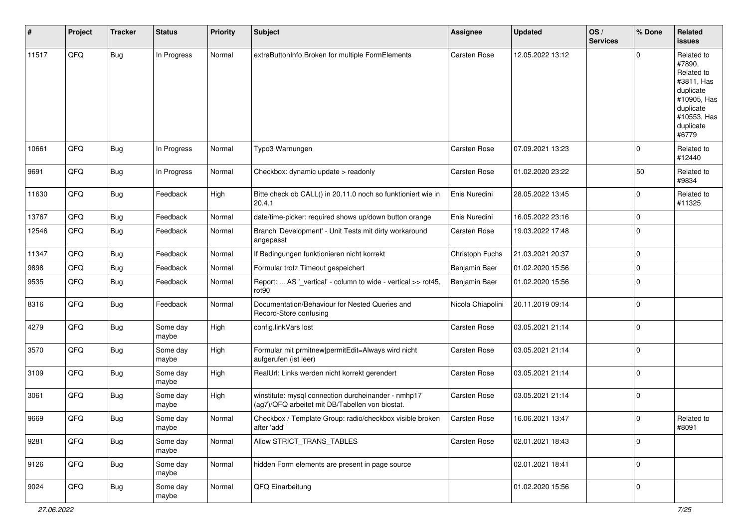| #     | Project | <b>Tracker</b> | <b>Status</b>     | <b>Priority</b> | <b>Subject</b>                                                                                         | <b>Assignee</b>   | <b>Updated</b>   | OS/<br><b>Services</b> | % Done      | <b>Related</b><br>issues                                                                                                       |
|-------|---------|----------------|-------------------|-----------------|--------------------------------------------------------------------------------------------------------|-------------------|------------------|------------------------|-------------|--------------------------------------------------------------------------------------------------------------------------------|
| 11517 | QFQ     | Bug            | In Progress       | Normal          | extraButtonInfo Broken for multiple FormElements                                                       | Carsten Rose      | 12.05.2022 13:12 |                        | $\Omega$    | Related to<br>#7890.<br>Related to<br>#3811, Has<br>duplicate<br>#10905, Has<br>duplicate<br>#10553, Has<br>duplicate<br>#6779 |
| 10661 | QFQ     | Bug            | In Progress       | Normal          | Typo3 Warnungen                                                                                        | Carsten Rose      | 07.09.2021 13:23 |                        | $\Omega$    | Related to<br>#12440                                                                                                           |
| 9691  | QFQ     | Bug            | In Progress       | Normal          | Checkbox: dynamic update > readonly                                                                    | Carsten Rose      | 01.02.2020 23:22 |                        | 50          | Related to<br>#9834                                                                                                            |
| 11630 | QFQ     | Bug            | Feedback          | High            | Bitte check ob CALL() in 20.11.0 noch so funktioniert wie in<br>20.4.1                                 | Enis Nuredini     | 28.05.2022 13:45 |                        | $\Omega$    | Related to<br>#11325                                                                                                           |
| 13767 | QFQ     | <b>Bug</b>     | Feedback          | Normal          | date/time-picker: required shows up/down button orange                                                 | Enis Nuredini     | 16.05.2022 23:16 |                        | $\Omega$    |                                                                                                                                |
| 12546 | QFQ     | Bug            | Feedback          | Normal          | Branch 'Development' - Unit Tests mit dirty workaround<br>angepasst                                    | Carsten Rose      | 19.03.2022 17:48 |                        | $\Omega$    |                                                                                                                                |
| 11347 | QFQ     | <b>Bug</b>     | Feedback          | Normal          | If Bedingungen funktionieren nicht korrekt                                                             | Christoph Fuchs   | 21.03.2021 20:37 |                        | $\Omega$    |                                                                                                                                |
| 9898  | QFQ     | <b>Bug</b>     | Feedback          | Normal          | Formular trotz Timeout gespeichert                                                                     | Benjamin Baer     | 01.02.2020 15:56 |                        | $\Omega$    |                                                                                                                                |
| 9535  | QFQ     | Bug            | Feedback          | Normal          | Report:  AS '_vertical' - column to wide - vertical >> rot45,<br>rot90                                 | Benjamin Baer     | 01.02.2020 15:56 |                        | $\Omega$    |                                                                                                                                |
| 8316  | QFQ     | <b>Bug</b>     | Feedback          | Normal          | Documentation/Behaviour for Nested Queries and<br>Record-Store confusing                               | Nicola Chiapolini | 20.11.2019 09:14 |                        | $\Omega$    |                                                                                                                                |
| 4279  | QFQ     | <b>Bug</b>     | Some day<br>maybe | High            | config.linkVars lost                                                                                   | Carsten Rose      | 03.05.2021 21:14 |                        | $\Omega$    |                                                                                                                                |
| 3570  | QFQ     | <b>Bug</b>     | Some day<br>maybe | High            | Formular mit prmitnew   permitEdit=Always wird nicht<br>aufgerufen (ist leer)                          | Carsten Rose      | 03.05.2021 21:14 |                        | $\Omega$    |                                                                                                                                |
| 3109  | QFQ     | <b>Bug</b>     | Some day<br>maybe | High            | RealUrl: Links werden nicht korrekt gerendert                                                          | Carsten Rose      | 03.05.2021 21:14 |                        | $\mathbf 0$ |                                                                                                                                |
| 3061  | QFQ     | Bug            | Some day<br>maybe | High            | winstitute: mysql connection durcheinander - nmhp17<br>(ag7)/QFQ arbeitet mit DB/Tabellen von biostat. | Carsten Rose      | 03.05.2021 21:14 |                        | $\mathbf 0$ |                                                                                                                                |
| 9669  | QFQ     | Bug            | Some day<br>maybe | Normal          | Checkbox / Template Group: radio/checkbox visible broken<br>after 'add'                                | Carsten Rose      | 16.06.2021 13:47 |                        | 0           | Related to<br>#8091                                                                                                            |
| 9281  | QFQ     | Bug            | Some day<br>maybe | Normal          | Allow STRICT_TRANS_TABLES                                                                              | Carsten Rose      | 02.01.2021 18:43 |                        | 0           |                                                                                                                                |
| 9126  | QFG     | <b>Bug</b>     | Some day<br>maybe | Normal          | hidden Form elements are present in page source                                                        |                   | 02.01.2021 18:41 |                        | $\pmb{0}$   |                                                                                                                                |
| 9024  | QFO     | Bug            | Some day<br>maybe | Normal          | QFQ Einarbeitung                                                                                       |                   | 01.02.2020 15:56 |                        | 0           |                                                                                                                                |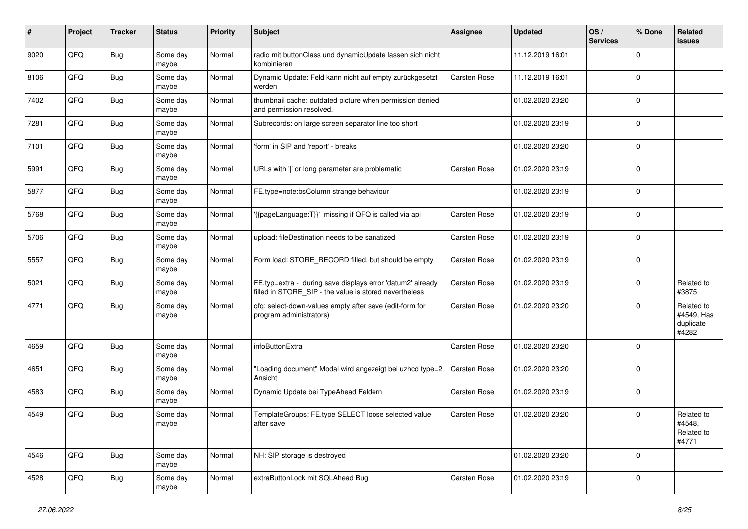| #    | Project | <b>Tracker</b> | <b>Status</b>     | <b>Priority</b> | <b>Subject</b>                                                                                                       | Assignee     | <b>Updated</b>   | OS/<br><b>Services</b> | % Done      | <b>Related</b><br>issues                       |
|------|---------|----------------|-------------------|-----------------|----------------------------------------------------------------------------------------------------------------------|--------------|------------------|------------------------|-------------|------------------------------------------------|
| 9020 | QFQ     | <b>Bug</b>     | Some day<br>maybe | Normal          | radio mit buttonClass und dynamicUpdate lassen sich nicht<br>kombinieren                                             |              | 11.12.2019 16:01 |                        | $\Omega$    |                                                |
| 8106 | QFQ     | Bug            | Some day<br>maybe | Normal          | Dynamic Update: Feld kann nicht auf empty zurückgesetzt<br>werden                                                    | Carsten Rose | 11.12.2019 16:01 |                        | $\mathbf 0$ |                                                |
| 7402 | QFQ     | Bug            | Some day<br>maybe | Normal          | thumbnail cache: outdated picture when permission denied<br>and permission resolved.                                 |              | 01.02.2020 23:20 |                        | $\Omega$    |                                                |
| 7281 | QFQ     | <b>Bug</b>     | Some day<br>maybe | Normal          | Subrecords: on large screen separator line too short                                                                 |              | 01.02.2020 23:19 |                        | $\mathbf 0$ |                                                |
| 7101 | QFQ     | Bug            | Some day<br>maybe | Normal          | 'form' in SIP and 'report' - breaks                                                                                  |              | 01.02.2020 23:20 |                        | $\mathbf 0$ |                                                |
| 5991 | QFQ     | <b>Bug</b>     | Some day<br>maybe | Normal          | URLs with ' ' or long parameter are problematic                                                                      | Carsten Rose | 01.02.2020 23:19 |                        | $\Omega$    |                                                |
| 5877 | QFQ     | <b>Bug</b>     | Some day<br>maybe | Normal          | FE.type=note:bsColumn strange behaviour                                                                              |              | 01.02.2020 23:19 |                        | $\mathbf 0$ |                                                |
| 5768 | QFQ     | <b>Bug</b>     | Some day<br>maybe | Normal          | '{{pageLanguage:T}}' missing if QFQ is called via api                                                                | Carsten Rose | 01.02.2020 23:19 |                        | $\mathbf 0$ |                                                |
| 5706 | QFQ     | Bug            | Some day<br>maybe | Normal          | upload: fileDestination needs to be sanatized                                                                        | Carsten Rose | 01.02.2020 23:19 |                        | $\mathbf 0$ |                                                |
| 5557 | QFQ     | <b>Bug</b>     | Some day<br>maybe | Normal          | Form load: STORE_RECORD filled, but should be empty                                                                  | Carsten Rose | 01.02.2020 23:19 |                        | $\mathbf 0$ |                                                |
| 5021 | QFQ     | Bug            | Some day<br>maybe | Normal          | FE.typ=extra - during save displays error 'datum2' already<br>filled in STORE_SIP - the value is stored nevertheless | Carsten Rose | 01.02.2020 23:19 |                        | $\mathbf 0$ | Related to<br>#3875                            |
| 4771 | QFQ     | <b>Bug</b>     | Some day<br>maybe | Normal          | qfq: select-down-values empty after save (edit-form for<br>program administrators)                                   | Carsten Rose | 01.02.2020 23:20 |                        | $\mathbf 0$ | Related to<br>#4549, Has<br>duplicate<br>#4282 |
| 4659 | QFQ     | Bug            | Some day<br>maybe | Normal          | infoButtonExtra                                                                                                      | Carsten Rose | 01.02.2020 23:20 |                        | $\mathbf 0$ |                                                |
| 4651 | QFQ     | <b>Bug</b>     | Some day<br>maybe | Normal          | "Loading document" Modal wird angezeigt bei uzhcd type=2<br>Ansicht                                                  | Carsten Rose | 01.02.2020 23:20 |                        | $\Omega$    |                                                |
| 4583 | QFQ     | Bug            | Some day<br>maybe | Normal          | Dynamic Update bei TypeAhead Feldern                                                                                 | Carsten Rose | 01.02.2020 23:19 |                        | $\mathbf 0$ |                                                |
| 4549 | QFQ     | Bug            | Some day<br>maybe | Normal          | TemplateGroups: FE.type SELECT loose selected value<br>after save                                                    | Carsten Rose | 01.02.2020 23:20 |                        | $\Omega$    | Related to<br>#4548,<br>Related to<br>#4771    |
| 4546 | QFQ     | Bug            | Some day<br>maybe | Normal          | NH: SIP storage is destroyed                                                                                         |              | 01.02.2020 23:20 |                        | $\mathbf 0$ |                                                |
| 4528 | QFG     | Bug            | Some day<br>maybe | Normal          | extraButtonLock mit SQLAhead Bug                                                                                     | Carsten Rose | 01.02.2020 23:19 |                        | $\Omega$    |                                                |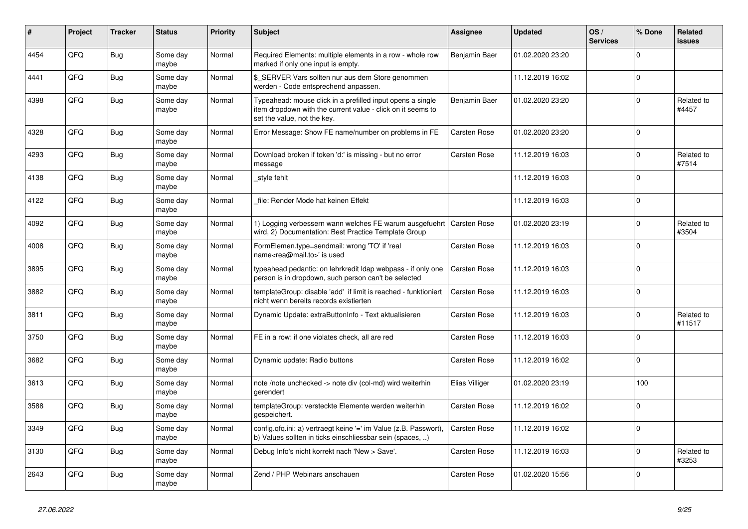| #    | Project | <b>Tracker</b> | <b>Status</b>     | <b>Priority</b> | <b>Subject</b>                                                                                                                                           | Assignee       | <b>Updated</b>   | OS/<br><b>Services</b> | % Done      | Related<br>issues    |
|------|---------|----------------|-------------------|-----------------|----------------------------------------------------------------------------------------------------------------------------------------------------------|----------------|------------------|------------------------|-------------|----------------------|
| 4454 | QFQ     | <b>Bug</b>     | Some day<br>maybe | Normal          | Required Elements: multiple elements in a row - whole row<br>marked if only one input is empty.                                                          | Benjamin Baer  | 01.02.2020 23:20 |                        | $\Omega$    |                      |
| 4441 | QFQ     | <b>Bug</b>     | Some day<br>maybe | Normal          | \$ SERVER Vars sollten nur aus dem Store genommen<br>werden - Code entsprechend anpassen.                                                                |                | 11.12.2019 16:02 |                        | $\Omega$    |                      |
| 4398 | QFQ     | Bug            | Some day<br>maybe | Normal          | Typeahead: mouse click in a prefilled input opens a single<br>item dropdown with the current value - click on it seems to<br>set the value, not the key. | Benjamin Baer  | 01.02.2020 23:20 |                        | $\Omega$    | Related to<br>#4457  |
| 4328 | QFQ     | <b>Bug</b>     | Some day<br>maybe | Normal          | Error Message: Show FE name/number on problems in FE                                                                                                     | Carsten Rose   | 01.02.2020 23:20 |                        | $\Omega$    |                      |
| 4293 | QFQ     | <b>Bug</b>     | Some day<br>maybe | Normal          | Download broken if token 'd:' is missing - but no error<br>message                                                                                       | Carsten Rose   | 11.12.2019 16:03 |                        | $\Omega$    | Related to<br>#7514  |
| 4138 | QFQ     | <b>Bug</b>     | Some day<br>maybe | Normal          | style fehlt                                                                                                                                              |                | 11.12.2019 16:03 |                        | $\Omega$    |                      |
| 4122 | QFQ     | <b>Bug</b>     | Some day<br>maybe | Normal          | file: Render Mode hat keinen Effekt                                                                                                                      |                | 11.12.2019 16:03 |                        | $\Omega$    |                      |
| 4092 | QFQ     | <b>Bug</b>     | Some day<br>maybe | Normal          | 1) Logging verbessern wann welches FE warum ausgefuehrt<br>wird, 2) Documentation: Best Practice Template Group                                          | Carsten Rose   | 01.02.2020 23:19 |                        | $\Omega$    | Related to<br>#3504  |
| 4008 | QFQ     | <b>Bug</b>     | Some day<br>maybe | Normal          | FormElemen.type=sendmail: wrong 'TO' if 'real<br>name <rea@mail.to>' is used</rea@mail.to>                                                               | Carsten Rose   | 11.12.2019 16:03 |                        | $\Omega$    |                      |
| 3895 | QFQ     | <b>Bug</b>     | Some day<br>maybe | Normal          | typeahead pedantic: on lehrkredit Idap webpass - if only one<br>person is in dropdown, such person can't be selected                                     | Carsten Rose   | 11.12.2019 16:03 |                        | $\Omega$    |                      |
| 3882 | QFQ     | <b>Bug</b>     | Some day<br>maybe | Normal          | templateGroup: disable 'add' if limit is reached - funktioniert<br>nicht wenn bereits records existierten                                                | Carsten Rose   | 11.12.2019 16:03 |                        | $\Omega$    |                      |
| 3811 | QFQ     | <b>Bug</b>     | Some day<br>maybe | Normal          | Dynamic Update: extraButtonInfo - Text aktualisieren                                                                                                     | Carsten Rose   | 11.12.2019 16:03 |                        | $\Omega$    | Related to<br>#11517 |
| 3750 | QFQ     | <b>Bug</b>     | Some day<br>maybe | Normal          | FE in a row: if one violates check, all are red                                                                                                          | Carsten Rose   | 11.12.2019 16:03 |                        | $\Omega$    |                      |
| 3682 | QFQ     | <b>Bug</b>     | Some day<br>maybe | Normal          | Dynamic update: Radio buttons                                                                                                                            | Carsten Rose   | 11.12.2019 16:02 |                        | $\Omega$    |                      |
| 3613 | QFQ     | Bug            | Some day<br>maybe | Normal          | note /note unchecked -> note div (col-md) wird weiterhin<br>gerendert                                                                                    | Elias Villiger | 01.02.2020 23:19 |                        | 100         |                      |
| 3588 | QFQ     | <b>Bug</b>     | Some day<br>maybe | Normal          | templateGroup: versteckte Elemente werden weiterhin<br>gespeichert.                                                                                      | Carsten Rose   | 11.12.2019 16:02 |                        | $\mathbf 0$ |                      |
| 3349 | QFQ     | <b>Bug</b>     | Some day<br>maybe | Normal          | config.qfq.ini: a) vertraegt keine '=' im Value (z.B. Passwort),<br>b) Values sollten in ticks einschliessbar sein (spaces, )                            | Carsten Rose   | 11.12.2019 16:02 |                        | $\Omega$    |                      |
| 3130 | QFQ     | Bug            | Some day<br>maybe | Normal          | Debug Info's nicht korrekt nach 'New > Save'.                                                                                                            | Carsten Rose   | 11.12.2019 16:03 |                        | $\Omega$    | Related to<br>#3253  |
| 2643 | QFQ     | Bug            | Some day<br>maybe | Normal          | Zend / PHP Webinars anschauen                                                                                                                            | Carsten Rose   | 01.02.2020 15:56 |                        | $\Omega$    |                      |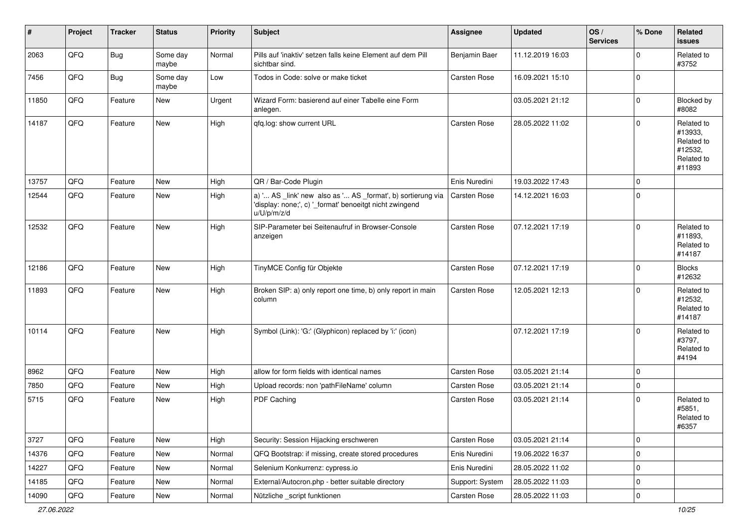| #     | Project | <b>Tracker</b> | <b>Status</b>     | <b>Priority</b> | Subject                                                                                                                               | Assignee        | <b>Updated</b>   | OS/<br><b>Services</b> | % Done      | Related<br><b>issues</b>                                               |
|-------|---------|----------------|-------------------|-----------------|---------------------------------------------------------------------------------------------------------------------------------------|-----------------|------------------|------------------------|-------------|------------------------------------------------------------------------|
| 2063  | QFQ     | Bug            | Some day<br>maybe | Normal          | Pills auf 'inaktiv' setzen falls keine Element auf dem Pill<br>sichtbar sind.                                                         | Benjamin Baer   | 11.12.2019 16:03 |                        | $\Omega$    | Related to<br>#3752                                                    |
| 7456  | QFQ     | Bug            | Some day<br>maybe | Low             | Todos in Code: solve or make ticket                                                                                                   | Carsten Rose    | 16.09.2021 15:10 |                        | $\mathbf 0$ |                                                                        |
| 11850 | QFQ     | Feature        | New               | Urgent          | Wizard Form: basierend auf einer Tabelle eine Form<br>anlegen.                                                                        |                 | 03.05.2021 21:12 |                        | $\mathbf 0$ | Blocked by<br>#8082                                                    |
| 14187 | QFQ     | Feature        | <b>New</b>        | High            | qfq.log: show current URL                                                                                                             | Carsten Rose    | 28.05.2022 11:02 |                        | $\mathbf 0$ | Related to<br>#13933,<br>Related to<br>#12532,<br>Related to<br>#11893 |
| 13757 | QFQ     | Feature        | New               | High            | QR / Bar-Code Plugin                                                                                                                  | Enis Nuredini   | 19.03.2022 17:43 |                        | $\mathbf 0$ |                                                                        |
| 12544 | QFQ     | Feature        | New               | High            | a) ' AS _link' new also as ' AS _format', b) sortierung via<br>'display: none;', c) '_format' benoeitgt nicht zwingend<br>u/U/p/m/z/d | Carsten Rose    | 14.12.2021 16:03 |                        | $\mathbf 0$ |                                                                        |
| 12532 | QFQ     | Feature        | <b>New</b>        | High            | SIP-Parameter bei Seitenaufruf in Browser-Console<br>anzeigen                                                                         | Carsten Rose    | 07.12.2021 17:19 |                        | $\Omega$    | Related to<br>#11893.<br>Related to<br>#14187                          |
| 12186 | QFQ     | Feature        | New               | High            | TinyMCE Config für Objekte                                                                                                            | Carsten Rose    | 07.12.2021 17:19 |                        | $\mathbf 0$ | <b>Blocks</b><br>#12632                                                |
| 11893 | QFQ     | Feature        | New               | High            | Broken SIP: a) only report one time, b) only report in main<br>column                                                                 | Carsten Rose    | 12.05.2021 12:13 |                        | $\Omega$    | Related to<br>#12532,<br>Related to<br>#14187                          |
| 10114 | QFQ     | Feature        | <b>New</b>        | High            | Symbol (Link): 'G:' (Glyphicon) replaced by 'i:' (icon)                                                                               |                 | 07.12.2021 17:19 |                        | $\mathbf 0$ | Related to<br>#3797.<br>Related to<br>#4194                            |
| 8962  | QFQ     | Feature        | New               | High            | allow for form fields with identical names                                                                                            | Carsten Rose    | 03.05.2021 21:14 |                        | $\Omega$    |                                                                        |
| 7850  | QFQ     | Feature        | New               | High            | Upload records: non 'pathFileName' column                                                                                             | Carsten Rose    | 03.05.2021 21:14 |                        | $\mathbf 0$ |                                                                        |
| 5715  | QFQ     | Feature        | New               | High            | PDF Caching                                                                                                                           | Carsten Rose    | 03.05.2021 21:14 |                        | $\mathbf 0$ | Related to<br>#5851,<br>Related to<br>#6357                            |
| 3727  | QFQ     | Feature        | New               | High            | Security: Session Hijacking erschweren                                                                                                | Carsten Rose    | 03.05.2021 21:14 |                        | $\mathbf 0$ |                                                                        |
| 14376 | QFQ     | Feature        | New               | Normal          | QFQ Bootstrap: if missing, create stored procedures                                                                                   | Enis Nuredini   | 19.06.2022 16:37 |                        | $\mathbf 0$ |                                                                        |
| 14227 | QFQ     | Feature        | New               | Normal          | Selenium Konkurrenz: cypress.io                                                                                                       | Enis Nuredini   | 28.05.2022 11:02 |                        | 0           |                                                                        |
| 14185 | QFQ     | Feature        | New               | Normal          | External/Autocron.php - better suitable directory                                                                                     | Support: System | 28.05.2022 11:03 |                        | 0           |                                                                        |
| 14090 | QFQ     | Feature        | New               | Normal          | Nützliche _script funktionen                                                                                                          | Carsten Rose    | 28.05.2022 11:03 |                        | $\mathbf 0$ |                                                                        |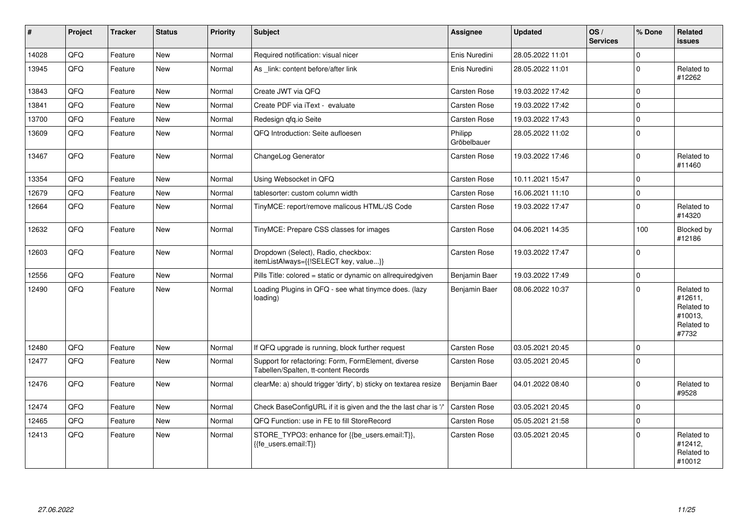| $\vert$ # | Project | <b>Tracker</b> | <b>Status</b> | <b>Priority</b> | <b>Subject</b>                                                                              | <b>Assignee</b>        | <b>Updated</b>   | OS/<br><b>Services</b> | % Done      | Related<br>issues                                                     |
|-----------|---------|----------------|---------------|-----------------|---------------------------------------------------------------------------------------------|------------------------|------------------|------------------------|-------------|-----------------------------------------------------------------------|
| 14028     | QFQ     | Feature        | <b>New</b>    | Normal          | Required notification: visual nicer                                                         | Enis Nuredini          | 28.05.2022 11:01 |                        | $\mathbf 0$ |                                                                       |
| 13945     | QFQ     | Feature        | <b>New</b>    | Normal          | As link: content before/after link                                                          | Enis Nuredini          | 28.05.2022 11:01 |                        | $\mathbf 0$ | Related to<br>#12262                                                  |
| 13843     | QFQ     | Feature        | <b>New</b>    | Normal          | Create JWT via QFQ                                                                          | Carsten Rose           | 19.03.2022 17:42 |                        | $\Omega$    |                                                                       |
| 13841     | QFQ     | Feature        | <b>New</b>    | Normal          | Create PDF via iText - evaluate                                                             | Carsten Rose           | 19.03.2022 17:42 |                        | $\Omega$    |                                                                       |
| 13700     | QFQ     | Feature        | New           | Normal          | Redesign gfg.io Seite                                                                       | Carsten Rose           | 19.03.2022 17:43 |                        | $\mathbf 0$ |                                                                       |
| 13609     | QFQ     | Feature        | <b>New</b>    | Normal          | QFQ Introduction: Seite aufloesen                                                           | Philipp<br>Gröbelbauer | 28.05.2022 11:02 |                        | $\Omega$    |                                                                       |
| 13467     | QFQ     | Feature        | <b>New</b>    | Normal          | ChangeLog Generator                                                                         | Carsten Rose           | 19.03.2022 17:46 |                        | $\Omega$    | Related to<br>#11460                                                  |
| 13354     | QFQ     | Feature        | <b>New</b>    | Normal          | Using Websocket in QFQ                                                                      | Carsten Rose           | 10.11.2021 15:47 |                        | $\Omega$    |                                                                       |
| 12679     | QFQ     | Feature        | <b>New</b>    | Normal          | tablesorter: custom column width                                                            | Carsten Rose           | 16.06.2021 11:10 |                        | $\mathbf 0$ |                                                                       |
| 12664     | QFQ     | Feature        | <b>New</b>    | Normal          | TinyMCE: report/remove malicous HTML/JS Code                                                | Carsten Rose           | 19.03.2022 17:47 |                        | $\Omega$    | Related to<br>#14320                                                  |
| 12632     | QFQ     | Feature        | New           | Normal          | TinyMCE: Prepare CSS classes for images                                                     | Carsten Rose           | 04.06.2021 14:35 |                        | 100         | Blocked by<br>#12186                                                  |
| 12603     | QFQ     | Feature        | <b>New</b>    | Normal          | Dropdown (Select), Radio, checkbox:<br>itemListAlways={{!SELECT key, value}}                | Carsten Rose           | 19.03.2022 17:47 |                        | $\mathbf 0$ |                                                                       |
| 12556     | QFQ     | Feature        | <b>New</b>    | Normal          | Pills Title: colored = static or dynamic on allrequiredgiven                                | Benjamin Baer          | 19.03.2022 17:49 |                        | $\mathbf 0$ |                                                                       |
| 12490     | QFQ     | Feature        | <b>New</b>    | Normal          | Loading Plugins in QFQ - see what tinymce does. (lazy<br>loading)                           | Benjamin Baer          | 08.06.2022 10:37 |                        | $\Omega$    | Related to<br>#12611,<br>Related to<br>#10013,<br>Related to<br>#7732 |
| 12480     | QFQ     | Feature        | <b>New</b>    | Normal          | If QFQ upgrade is running, block further request                                            | Carsten Rose           | 03.05.2021 20:45 |                        | $\mathbf 0$ |                                                                       |
| 12477     | QFQ     | Feature        | <b>New</b>    | Normal          | Support for refactoring: Form, FormElement, diverse<br>Tabellen/Spalten, tt-content Records | Carsten Rose           | 03.05.2021 20:45 |                        | $\Omega$    |                                                                       |
| 12476     | QFQ     | Feature        | <b>New</b>    | Normal          | clearMe: a) should trigger 'dirty', b) sticky on textarea resize                            | Benjamin Baer          | 04.01.2022 08:40 |                        | $\mathbf 0$ | Related to<br>#9528                                                   |
| 12474     | QFQ     | Feature        | <b>New</b>    | Normal          | Check BaseConfigURL if it is given and the the last char is '/'                             | Carsten Rose           | 03.05.2021 20:45 |                        | $\mathbf 0$ |                                                                       |
| 12465     | QFQ     | Feature        | <b>New</b>    | Normal          | QFQ Function: use in FE to fill StoreRecord                                                 | Carsten Rose           | 05.05.2021 21:58 |                        | $\Omega$    |                                                                       |
| 12413     | QFQ     | Feature        | <b>New</b>    | Normal          | STORE TYPO3: enhance for {{be users.email:T}},<br>{{fe_users.email:T}}                      | Carsten Rose           | 03.05.2021 20:45 |                        | $\Omega$    | Related to<br>#12412,<br>Related to<br>#10012                         |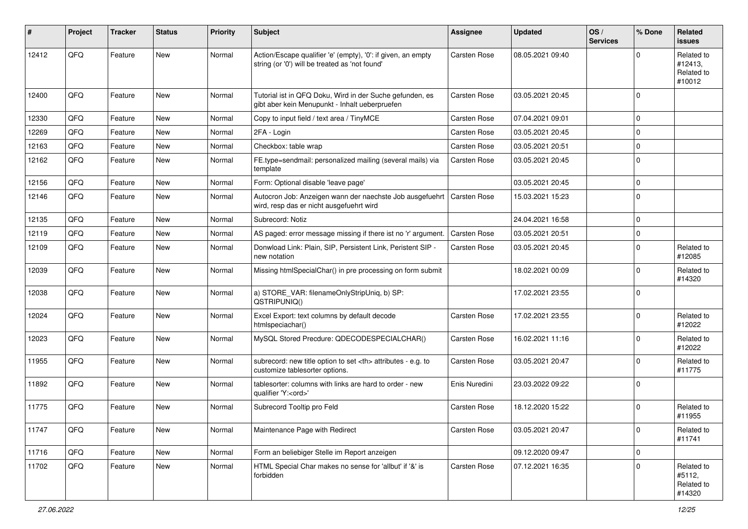| #     | Project | <b>Tracker</b> | <b>Status</b> | <b>Priority</b> | Subject                                                                                                        | <b>Assignee</b>                                        | <b>Updated</b>   | OS/<br><b>Services</b> | % Done      | <b>Related</b><br>issues                      |                      |
|-------|---------|----------------|---------------|-----------------|----------------------------------------------------------------------------------------------------------------|--------------------------------------------------------|------------------|------------------------|-------------|-----------------------------------------------|----------------------|
| 12412 | QFQ     | Feature        | New           | Normal          | Action/Escape qualifier 'e' (empty), '0': if given, an empty<br>string (or '0') will be treated as 'not found' | Carsten Rose                                           | 08.05.2021 09:40 |                        | $\Omega$    | Related to<br>#12413,<br>Related to<br>#10012 |                      |
| 12400 | QFQ     | Feature        | <b>New</b>    | Normal          | Tutorial ist in QFQ Doku, Wird in der Suche gefunden, es<br>gibt aber kein Menupunkt - Inhalt ueberpruefen     | Carsten Rose                                           | 03.05.2021 20:45 |                        | $\Omega$    |                                               |                      |
| 12330 | QFQ     | Feature        | <b>New</b>    | Normal          | Copy to input field / text area / TinyMCE                                                                      | Carsten Rose                                           | 07.04.2021 09:01 |                        | $\Omega$    |                                               |                      |
| 12269 | QFQ     | Feature        | <b>New</b>    | Normal          | 2FA - Login                                                                                                    | Carsten Rose                                           | 03.05.2021 20:45 |                        | $\Omega$    |                                               |                      |
| 12163 | QFQ     | Feature        | <b>New</b>    | Normal          | Checkbox: table wrap                                                                                           | Carsten Rose                                           | 03.05.2021 20:51 |                        | $\Omega$    |                                               |                      |
| 12162 | QFQ     | Feature        | <b>New</b>    | Normal          | FE.type=sendmail: personalized mailing (several mails) via<br>template                                         | Carsten Rose                                           | 03.05.2021 20:45 |                        | $\Omega$    |                                               |                      |
| 12156 | QFQ     | Feature        | New           | Normal          | Form: Optional disable 'leave page'                                                                            |                                                        | 03.05.2021 20:45 |                        | $\Omega$    |                                               |                      |
| 12146 | QFQ     | Feature        | <b>New</b>    | Normal          | Autocron Job: Anzeigen wann der naechste Job ausgefuehrt<br>wird, resp das er nicht ausgefuehrt wird           | Carsten Rose                                           | 15.03.2021 15:23 |                        | $\Omega$    |                                               |                      |
| 12135 | QFQ     | Feature        | <b>New</b>    | Normal          | Subrecord: Notiz                                                                                               |                                                        | 24.04.2021 16:58 |                        | $\Omega$    |                                               |                      |
| 12119 | QFQ     | Feature        | <b>New</b>    | Normal          | AS paged: error message missing if there ist no 'r' argument.                                                  | Carsten Rose                                           | 03.05.2021 20:51 |                        | $\Omega$    |                                               |                      |
| 12109 | QFQ     | Feature        | New           | Normal          | Donwload Link: Plain, SIP, Persistent Link, Peristent SIP -<br>new notation                                    | Carsten Rose                                           | 03.05.2021 20:45 |                        | $\Omega$    | Related to<br>#12085                          |                      |
| 12039 | QFQ     | Feature        | <b>New</b>    | Normal          | Missing htmlSpecialChar() in pre processing on form submit                                                     |                                                        | 18.02.2021 00:09 |                        | $\Omega$    | Related to<br>#14320                          |                      |
| 12038 | QFQ     | Feature        | New           | Normal          | a) STORE_VAR: filenameOnlyStripUniq, b) SP:<br>QSTRIPUNIQ()                                                    |                                                        | 17.02.2021 23:55 |                        | $\Omega$    |                                               |                      |
| 12024 | QFQ     | Feature        | New           | Normal          | Excel Export: text columns by default decode<br>htmlspeciachar()                                               | Carsten Rose                                           | 17.02.2021 23:55 |                        | $\Omega$    | Related to<br>#12022                          |                      |
| 12023 | QFQ     | Feature        | New           | Normal          | MySQL Stored Precdure: QDECODESPECIALCHAR()                                                                    | Carsten Rose                                           | 16.02.2021 11:16 |                        | $\Omega$    | Related to<br>#12022                          |                      |
| 11955 | QFQ     | Feature        | New           | Normal          | subrecord: new title option to set <th> attributes - e.g. to<br/>customize tablesorter options.</th>           | attributes - e.g. to<br>customize tablesorter options. | Carsten Rose     | 03.05.2021 20:47       |             | $\Omega$                                      | Related to<br>#11775 |
| 11892 | QFQ     | Feature        | New           | Normal          | tablesorter: columns with links are hard to order - new<br>qualifier 'Y: <ord>'</ord>                          | Enis Nuredini                                          | 23.03.2022 09:22 |                        | $\Omega$    |                                               |                      |
| 11775 | QFQ     | Feature        | <b>New</b>    | Normal          | Subrecord Tooltip pro Feld                                                                                     | Carsten Rose                                           | 18.12.2020 15:22 |                        | $\Omega$    | Related to<br>#11955                          |                      |
| 11747 | QFQ     | Feature        | New           | Normal          | Maintenance Page with Redirect                                                                                 | Carsten Rose                                           | 03.05.2021 20:47 |                        | $\mathbf 0$ | Related to<br>#11741                          |                      |
| 11716 | QFQ     | Feature        | New           | Normal          | Form an beliebiger Stelle im Report anzeigen                                                                   |                                                        | 09.12.2020 09:47 |                        | $\mathbf 0$ |                                               |                      |
| 11702 | QFQ     | Feature        | New           | Normal          | HTML Special Char makes no sense for 'allbut' if '&' is<br>forbidden                                           | Carsten Rose                                           | 07.12.2021 16:35 |                        | $\mathbf 0$ | Related to<br>#5112,<br>Related to<br>#14320  |                      |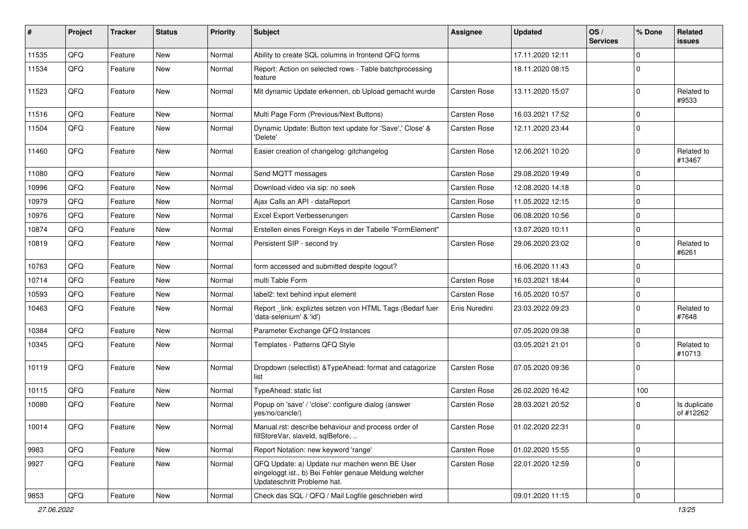| ∦     | Project | <b>Tracker</b> | <b>Status</b> | <b>Priority</b> | <b>Subject</b>                                                                                                                        | Assignee      | <b>Updated</b>   | OS/<br><b>Services</b> | % Done      | <b>Related</b><br>issues  |
|-------|---------|----------------|---------------|-----------------|---------------------------------------------------------------------------------------------------------------------------------------|---------------|------------------|------------------------|-------------|---------------------------|
| 11535 | QFQ     | Feature        | <b>New</b>    | Normal          | Ability to create SQL columns in frontend QFQ forms                                                                                   |               | 17.11.2020 12:11 |                        | $\Omega$    |                           |
| 11534 | QFQ     | Feature        | <b>New</b>    | Normal          | Report: Action on selected rows - Table batchprocessing<br>feature                                                                    |               | 18.11.2020 08:15 |                        | $\mathbf 0$ |                           |
| 11523 | QFQ     | Feature        | <b>New</b>    | Normal          | Mit dynamic Update erkennen, ob Upload gemacht wurde                                                                                  | Carsten Rose  | 13.11.2020 15:07 |                        | $\mathbf 0$ | Related to<br>#9533       |
| 11516 | QFQ     | Feature        | <b>New</b>    | Normal          | Multi Page Form (Previous/Next Buttons)                                                                                               | Carsten Rose  | 16.03.2021 17:52 |                        | $\mathbf 0$ |                           |
| 11504 | QFQ     | Feature        | <b>New</b>    | Normal          | Dynamic Update: Button text update for 'Save',' Close' &<br>'Delete'                                                                  | Carsten Rose  | 12.11.2020 23:44 |                        | $\mathbf 0$ |                           |
| 11460 | QFQ     | Feature        | <b>New</b>    | Normal          | Easier creation of changelog: gitchangelog                                                                                            | Carsten Rose  | 12.06.2021 10:20 |                        | $\mathbf 0$ | Related to<br>#13467      |
| 11080 | QFQ     | Feature        | <b>New</b>    | Normal          | Send MQTT messages                                                                                                                    | Carsten Rose  | 29.08.2020 19:49 |                        | $\Omega$    |                           |
| 10996 | QFQ     | Feature        | <b>New</b>    | Normal          | Download video via sip: no seek                                                                                                       | Carsten Rose  | 12.08.2020 14:18 |                        | $\mathbf 0$ |                           |
| 10979 | QFQ     | Feature        | <b>New</b>    | Normal          | Ajax Calls an API - dataReport                                                                                                        | Carsten Rose  | 11.05.2022 12:15 |                        | $\mathbf 0$ |                           |
| 10976 | QFQ     | Feature        | New           | Normal          | Excel Export Verbesserungen                                                                                                           | Carsten Rose  | 06.08.2020 10:56 |                        | $\mathbf 0$ |                           |
| 10874 | QFQ     | Feature        | <b>New</b>    | Normal          | Erstellen eines Foreign Keys in der Tabelle "FormElement"                                                                             |               | 13.07.2020 10:11 |                        | $\Omega$    |                           |
| 10819 | QFQ     | Feature        | <b>New</b>    | Normal          | Persistent SIP - second try                                                                                                           | Carsten Rose  | 29.06.2020 23:02 |                        | $\mathbf 0$ | Related to<br>#6261       |
| 10763 | QFQ     | Feature        | <b>New</b>    | Normal          | form accessed and submitted despite logout?                                                                                           |               | 16.06.2020 11:43 |                        | $\mathbf 0$ |                           |
| 10714 | QFQ     | Feature        | <b>New</b>    | Normal          | multi Table Form                                                                                                                      | Carsten Rose  | 16.03.2021 18:44 |                        | $\Omega$    |                           |
| 10593 | QFQ     | Feature        | <b>New</b>    | Normal          | label2: text behind input element                                                                                                     | Carsten Rose  | 16.05.2020 10:57 |                        | $\mathbf 0$ |                           |
| 10463 | QFQ     | Feature        | <b>New</b>    | Normal          | Report _link: expliztes setzen von HTML Tags (Bedarf fuer<br>'data-selenium' & 'id')                                                  | Enis Nuredini | 23.03.2022 09:23 |                        | $\Omega$    | Related to<br>#7648       |
| 10384 | QFQ     | Feature        | <b>New</b>    | Normal          | Parameter Exchange QFQ Instances                                                                                                      |               | 07.05.2020 09:38 |                        | $\mathbf 0$ |                           |
| 10345 | QFQ     | Feature        | <b>New</b>    | Normal          | Templates - Patterns QFQ Style                                                                                                        |               | 03.05.2021 21:01 |                        | $\Omega$    | Related to<br>#10713      |
| 10119 | QFQ     | Feature        | New           | Normal          | Dropdown (selectlist) & TypeAhead: format and catagorize<br>list                                                                      | Carsten Rose  | 07.05.2020 09:36 |                        | $\mathbf 0$ |                           |
| 10115 | QFQ     | Feature        | <b>New</b>    | Normal          | TypeAhead: static list                                                                                                                | Carsten Rose  | 26.02.2020 16:42 |                        | 100         |                           |
| 10080 | QFQ     | Feature        | <b>New</b>    | Normal          | Popup on 'save' / 'close': configure dialog (answer<br>yes/no/cancle/)                                                                | Carsten Rose  | 28.03.2021 20:52 |                        | $\Omega$    | Is duplicate<br>of #12262 |
| 10014 | QFQ     | Feature        | New           | Normal          | Manual.rst: describe behaviour and process order of<br>fillStoreVar, slaveId, sqlBefore,                                              | Carsten Rose  | 01.02.2020 22:31 |                        | 0           |                           |
| 9983  | QFQ     | Feature        | New           | Normal          | Report Notation: new keyword 'range'                                                                                                  | Carsten Rose  | 01.02.2020 15:55 |                        | $\mathbf 0$ |                           |
| 9927  | QFQ     | Feature        | New           | Normal          | QFQ Update: a) Update nur machen wenn BE User<br>eingeloggt ist., b) Bei Fehler genaue Meldung welcher<br>Updateschritt Probleme hat. | Carsten Rose  | 22.01.2020 12:59 |                        | $\mathbf 0$ |                           |
| 9853  | QFG     | Feature        | New           | Normal          | Check das SQL / QFQ / Mail Logfile geschrieben wird                                                                                   |               | 09.01.2020 11:15 |                        | $\mathbf 0$ |                           |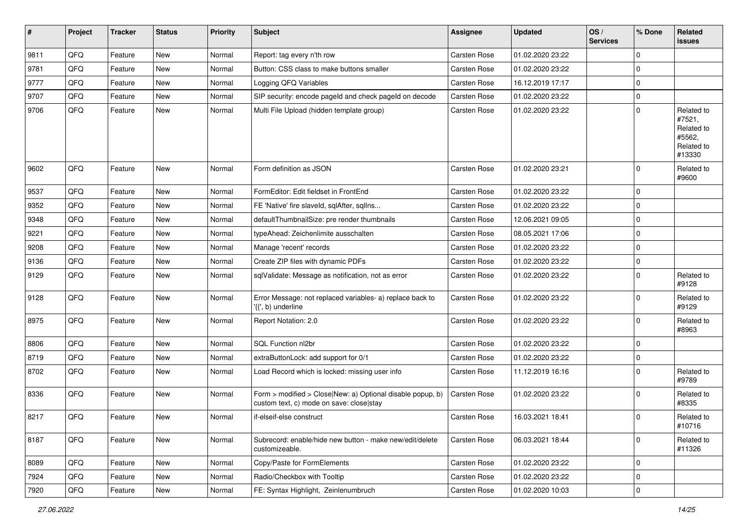| $\sharp$ | Project | <b>Tracker</b> | <b>Status</b> | <b>Priority</b> | Subject                                                                                                | <b>Assignee</b> | <b>Updated</b>   | OS/<br><b>Services</b> | % Done      | Related<br><b>issues</b>                                             |
|----------|---------|----------------|---------------|-----------------|--------------------------------------------------------------------------------------------------------|-----------------|------------------|------------------------|-------------|----------------------------------------------------------------------|
| 9811     | QFQ     | Feature        | New           | Normal          | Report: tag every n'th row                                                                             | Carsten Rose    | 01.02.2020 23:22 |                        | 0           |                                                                      |
| 9781     | QFQ     | Feature        | New           | Normal          | Button: CSS class to make buttons smaller                                                              | Carsten Rose    | 01.02.2020 23:22 |                        | 0           |                                                                      |
| 9777     | QFQ     | Feature        | New           | Normal          | Logging QFQ Variables                                                                                  | Carsten Rose    | 16.12.2019 17:17 |                        | 0           |                                                                      |
| 9707     | QFQ     | Feature        | New           | Normal          | SIP security: encode pageld and check pageld on decode                                                 | Carsten Rose    | 01.02.2020 23:22 |                        | 0           |                                                                      |
| 9706     | QFQ     | Feature        | New           | Normal          | Multi File Upload (hidden template group)                                                              | Carsten Rose    | 01.02.2020 23:22 |                        | 0           | Related to<br>#7521,<br>Related to<br>#5562.<br>Related to<br>#13330 |
| 9602     | QFQ     | Feature        | New           | Normal          | Form definition as JSON                                                                                | Carsten Rose    | 01.02.2020 23:21 |                        | 0           | Related to<br>#9600                                                  |
| 9537     | QFQ     | Feature        | New           | Normal          | FormEditor: Edit fieldset in FrontEnd                                                                  | Carsten Rose    | 01.02.2020 23:22 |                        | 0           |                                                                      |
| 9352     | QFQ     | Feature        | New           | Normal          | FE 'Native' fire slaveld, sqlAfter, sqlIns                                                             | Carsten Rose    | 01.02.2020 23:22 |                        | 0           |                                                                      |
| 9348     | QFQ     | Feature        | New           | Normal          | defaultThumbnailSize: pre render thumbnails                                                            | Carsten Rose    | 12.06.2021 09:05 |                        | 0           |                                                                      |
| 9221     | QFQ     | Feature        | New           | Normal          | typeAhead: Zeichenlimite ausschalten                                                                   | Carsten Rose    | 08.05.2021 17:06 |                        | 0           |                                                                      |
| 9208     | QFQ     | Feature        | New           | Normal          | Manage 'recent' records                                                                                | Carsten Rose    | 01.02.2020 23:22 |                        | $\mathbf 0$ |                                                                      |
| 9136     | QFQ     | Feature        | New           | Normal          | Create ZIP files with dynamic PDFs                                                                     | Carsten Rose    | 01.02.2020 23:22 |                        | 0           |                                                                      |
| 9129     | QFQ     | Feature        | New           | Normal          | sqlValidate: Message as notification, not as error                                                     | Carsten Rose    | 01.02.2020 23:22 |                        | 0           | Related to<br>#9128                                                  |
| 9128     | QFQ     | Feature        | New           | Normal          | Error Message: not replaced variables- a) replace back to<br>'{{', b) underline                        | Carsten Rose    | 01.02.2020 23:22 |                        | 0           | Related to<br>#9129                                                  |
| 8975     | QFQ     | Feature        | New           | Normal          | Report Notation: 2.0                                                                                   | Carsten Rose    | 01.02.2020 23:22 |                        | $\mathbf 0$ | Related to<br>#8963                                                  |
| 8806     | QFQ     | Feature        | New           | Normal          | SQL Function nl2br                                                                                     | Carsten Rose    | 01.02.2020 23:22 |                        | 0           |                                                                      |
| 8719     | QFQ     | Feature        | New           | Normal          | extraButtonLock: add support for 0/1                                                                   | Carsten Rose    | 01.02.2020 23:22 |                        | 0           |                                                                      |
| 8702     | QFQ     | Feature        | New           | Normal          | Load Record which is locked: missing user info                                                         | Carsten Rose    | 11.12.2019 16:16 |                        | $\mathbf 0$ | Related to<br>#9789                                                  |
| 8336     | QFQ     | Feature        | New           | Normal          | Form > modified > Close New: a) Optional disable popup, b)<br>custom text, c) mode on save: close stay | Carsten Rose    | 01.02.2020 23:22 |                        | 0           | Related to<br>#8335                                                  |
| 8217     | QFQ     | Feature        | New           | Normal          | if-elseif-else construct                                                                               | Carsten Rose    | 16.03.2021 18:41 |                        | 0           | Related to<br>#10716                                                 |
| 8187     | QFQ     | Feature        | New           | Normal          | Subrecord: enable/hide new button - make new/edit/delete<br>customizeable.                             | Carsten Rose    | 06.03.2021 18:44 |                        | 0           | Related to<br>#11326                                                 |
| 8089     | QFQ     | Feature        | New           | Normal          | Copy/Paste for FormElements                                                                            | Carsten Rose    | 01.02.2020 23:22 |                        | 0           |                                                                      |
| 7924     | QFQ     | Feature        | New           | Normal          | Radio/Checkbox with Tooltip                                                                            | Carsten Rose    | 01.02.2020 23:22 |                        | 0           |                                                                      |
| 7920     | QFG     | Feature        | New           | Normal          | FE: Syntax Highlight, Zeinlenumbruch                                                                   | Carsten Rose    | 01.02.2020 10:03 |                        | 0           |                                                                      |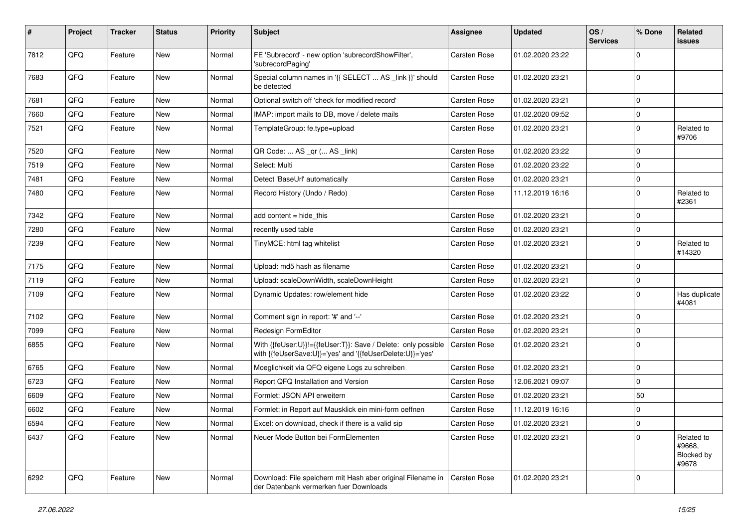| #    | Project | <b>Tracker</b> | <b>Status</b> | <b>Priority</b> | Subject                                                                                                                    | Assignee            | <b>Updated</b>   | OS/<br><b>Services</b> | % Done      | <b>Related</b><br>issues                    |
|------|---------|----------------|---------------|-----------------|----------------------------------------------------------------------------------------------------------------------------|---------------------|------------------|------------------------|-------------|---------------------------------------------|
| 7812 | QFQ     | Feature        | <b>New</b>    | Normal          | FE 'Subrecord' - new option 'subrecordShowFilter',<br>'subrecordPaging'                                                    | Carsten Rose        | 01.02.2020 23:22 |                        | $\Omega$    |                                             |
| 7683 | QFQ     | Feature        | New           | Normal          | Special column names in '{{ SELECT  AS _link }}' should<br>be detected                                                     | Carsten Rose        | 01.02.2020 23:21 |                        | $\mathbf 0$ |                                             |
| 7681 | QFQ     | Feature        | New           | Normal          | Optional switch off 'check for modified record'                                                                            | Carsten Rose        | 01.02.2020 23:21 |                        | $\Omega$    |                                             |
| 7660 | QFQ     | Feature        | New           | Normal          | IMAP: import mails to DB, move / delete mails                                                                              | Carsten Rose        | 01.02.2020 09:52 |                        | $\mathbf 0$ |                                             |
| 7521 | QFQ     | Feature        | New           | Normal          | TemplateGroup: fe.type=upload                                                                                              | Carsten Rose        | 01.02.2020 23:21 |                        | $\mathbf 0$ | Related to<br>#9706                         |
| 7520 | QFQ     | Feature        | New           | Normal          | QR Code:  AS _qr ( AS _link)                                                                                               | Carsten Rose        | 01.02.2020 23:22 |                        | $\Omega$    |                                             |
| 7519 | QFQ     | Feature        | New           | Normal          | Select: Multi                                                                                                              | Carsten Rose        | 01.02.2020 23:22 |                        | $\mathbf 0$ |                                             |
| 7481 | QFQ     | Feature        | New           | Normal          | Detect 'BaseUrl' automatically                                                                                             | Carsten Rose        | 01.02.2020 23:21 |                        | $\mathbf 0$ |                                             |
| 7480 | QFQ     | Feature        | New           | Normal          | Record History (Undo / Redo)                                                                                               | Carsten Rose        | 11.12.2019 16:16 |                        | $\Omega$    | Related to<br>#2361                         |
| 7342 | QFQ     | Feature        | New           | Normal          | add content $=$ hide this                                                                                                  | Carsten Rose        | 01.02.2020 23:21 |                        | $\Omega$    |                                             |
| 7280 | QFQ     | Feature        | New           | Normal          | recently used table                                                                                                        | Carsten Rose        | 01.02.2020 23:21 |                        | $\Omega$    |                                             |
| 7239 | QFQ     | Feature        | New           | Normal          | TinyMCE: html tag whitelist                                                                                                | Carsten Rose        | 01.02.2020 23:21 |                        | $\Omega$    | Related to<br>#14320                        |
| 7175 | QFQ     | Feature        | New           | Normal          | Upload: md5 hash as filename                                                                                               | Carsten Rose        | 01.02.2020 23:21 |                        | $\Omega$    |                                             |
| 7119 | QFQ     | Feature        | New           | Normal          | Upload: scaleDownWidth, scaleDownHeight                                                                                    | Carsten Rose        | 01.02.2020 23:21 |                        | $\mathbf 0$ |                                             |
| 7109 | QFQ     | Feature        | <b>New</b>    | Normal          | Dynamic Updates: row/element hide                                                                                          | Carsten Rose        | 01.02.2020 23:22 |                        | $\Omega$    | Has duplicate<br>#4081                      |
| 7102 | QFQ     | Feature        | <b>New</b>    | Normal          | Comment sign in report: '#' and '--'                                                                                       | Carsten Rose        | 01.02.2020 23:21 |                        | $\mathbf 0$ |                                             |
| 7099 | QFQ     | Feature        | New           | Normal          | Redesign FormEditor                                                                                                        | Carsten Rose        | 01.02.2020 23:21 |                        | $\mathbf 0$ |                                             |
| 6855 | QFQ     | Feature        | New           | Normal          | With {{feUser:U}}!={{feUser:T}}: Save / Delete: only possible<br>with {{feUserSave:U}}='yes' and '{{feUserDelete:U}}='yes' | Carsten Rose        | 01.02.2020 23:21 |                        | $\Omega$    |                                             |
| 6765 | QFQ     | Feature        | <b>New</b>    | Normal          | Moeglichkeit via QFQ eigene Logs zu schreiben                                                                              | Carsten Rose        | 01.02.2020 23:21 |                        | $\mathbf 0$ |                                             |
| 6723 | QFQ     | Feature        | New           | Normal          | Report QFQ Installation and Version                                                                                        | Carsten Rose        | 12.06.2021 09:07 |                        | $\Omega$    |                                             |
| 6609 | QFQ     | Feature        | New           | Normal          | Formlet: JSON API erweitern                                                                                                | Carsten Rose        | 01.02.2020 23:21 |                        | 50          |                                             |
| 6602 | QFQ     | Feature        | New           | Normal          | Formlet: in Report auf Mausklick ein mini-form oeffnen                                                                     | Carsten Rose        | 11.12.2019 16:16 |                        | $\Omega$    |                                             |
| 6594 | QFG     | Feature        | New           | Normal          | Excel: on download, check if there is a valid sip                                                                          | Carsten Rose        | 01.02.2020 23:21 |                        | $\pmb{0}$   |                                             |
| 6437 | QFQ     | Feature        | New           | Normal          | Neuer Mode Button bei FormElementen                                                                                        | <b>Carsten Rose</b> | 01.02.2020 23:21 |                        | $\mathbf 0$ | Related to<br>#9668,<br>Blocked by<br>#9678 |
| 6292 | QFQ     | Feature        | <b>New</b>    | Normal          | Download: File speichern mit Hash aber original Filename in   Carsten Rose<br>der Datenbank vermerken fuer Downloads       |                     | 01.02.2020 23:21 |                        | $\Omega$    |                                             |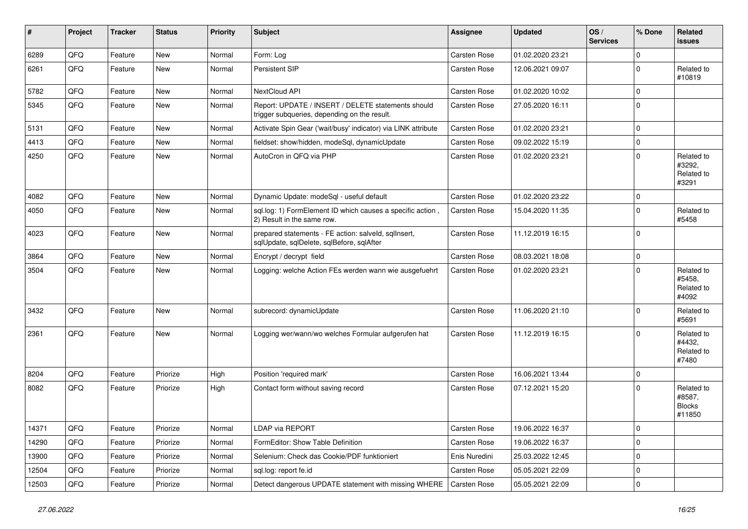| #     | Project | <b>Tracker</b> | <b>Status</b> | <b>Priority</b> | <b>Subject</b>                                                                                     | <b>Assignee</b> | <b>Updated</b>   | OS/<br><b>Services</b> | % Done      | Related<br>issues                               |
|-------|---------|----------------|---------------|-----------------|----------------------------------------------------------------------------------------------------|-----------------|------------------|------------------------|-------------|-------------------------------------------------|
| 6289  | QFQ     | Feature        | <b>New</b>    | Normal          | Form: Log                                                                                          | Carsten Rose    | 01.02.2020 23:21 |                        | $\mathbf 0$ |                                                 |
| 6261  | QFQ     | Feature        | New           | Normal          | Persistent SIP                                                                                     | Carsten Rose    | 12.06.2021 09:07 |                        | $\Omega$    | Related to<br>#10819                            |
| 5782  | QFQ     | Feature        | <b>New</b>    | Normal          | NextCloud API                                                                                      | Carsten Rose    | 01.02.2020 10:02 |                        | $\Omega$    |                                                 |
| 5345  | QFQ     | Feature        | New           | Normal          | Report: UPDATE / INSERT / DELETE statements should<br>trigger subqueries, depending on the result. | Carsten Rose    | 27.05.2020 16:11 |                        | $\Omega$    |                                                 |
| 5131  | QFQ     | Feature        | New           | Normal          | Activate Spin Gear ('wait/busy' indicator) via LINK attribute                                      | Carsten Rose    | 01.02.2020 23:21 |                        | $\Omega$    |                                                 |
| 4413  | QFQ     | Feature        | New           | Normal          | fieldset: show/hidden, modeSql, dynamicUpdate                                                      | Carsten Rose    | 09.02.2022 15:19 |                        | $\Omega$    |                                                 |
| 4250  | QFQ     | Feature        | New           | Normal          | AutoCron in QFQ via PHP                                                                            | Carsten Rose    | 01.02.2020 23:21 |                        | $\Omega$    | Related to<br>#3292,<br>Related to<br>#3291     |
| 4082  | QFQ     | Feature        | <b>New</b>    | Normal          | Dynamic Update: modeSql - useful default                                                           | Carsten Rose    | 01.02.2020 23:22 |                        | $\Omega$    |                                                 |
| 4050  | QFQ     | Feature        | New           | Normal          | sql.log: 1) FormElement ID which causes a specific action,<br>2) Result in the same row.           | Carsten Rose    | 15.04.2020 11:35 |                        | $\Omega$    | Related to<br>#5458                             |
| 4023  | QFQ     | Feature        | <b>New</b>    | Normal          | prepared statements - FE action: salveld, sqllnsert,<br>sqlUpdate, sqlDelete, sqlBefore, sqlAfter  | Carsten Rose    | 11.12.2019 16:15 |                        | $\Omega$    |                                                 |
| 3864  | QFQ     | Feature        | <b>New</b>    | Normal          | Encrypt / decrypt field                                                                            | Carsten Rose    | 08.03.2021 18:08 |                        | 0           |                                                 |
| 3504  | QFQ     | Feature        | New           | Normal          | Logging: welche Action FEs werden wann wie ausgefuehrt                                             | Carsten Rose    | 01.02.2020 23:21 |                        | $\Omega$    | Related to<br>#5458.<br>Related to<br>#4092     |
| 3432  | QFQ     | Feature        | New           | Normal          | subrecord: dynamicUpdate                                                                           | Carsten Rose    | 11.06.2020 21:10 |                        | $\Omega$    | Related to<br>#5691                             |
| 2361  | QFQ     | Feature        | New           | Normal          | Logging wer/wann/wo welches Formular aufgerufen hat                                                | Carsten Rose    | 11.12.2019 16:15 |                        | $\Omega$    | Related to<br>#4432,<br>Related to<br>#7480     |
| 8204  | QFQ     | Feature        | Priorize      | High            | Position 'required mark'                                                                           | Carsten Rose    | 16.06.2021 13:44 |                        | $\Omega$    |                                                 |
| 8082  | QFQ     | Feature        | Priorize      | High            | Contact form without saving record                                                                 | Carsten Rose    | 07.12.2021 15:20 |                        | $\Omega$    | Related to<br>#8587,<br><b>Blocks</b><br>#11850 |
| 14371 | QFQ     | Feature        | Priorize      | Normal          | LDAP via REPORT                                                                                    | Carsten Rose    | 19.06.2022 16:37 |                        | $\mathbf 0$ |                                                 |
| 14290 | QFQ     | Feature        | Priorize      | Normal          | FormEditor: Show Table Definition                                                                  | Carsten Rose    | 19.06.2022 16:37 |                        | 0           |                                                 |
| 13900 | QFQ     | Feature        | Priorize      | Normal          | Selenium: Check das Cookie/PDF funktioniert                                                        | Enis Nuredini   | 25.03.2022 12:45 |                        | 0           |                                                 |
| 12504 | QFQ     | Feature        | Priorize      | Normal          | sql.log: report fe.id                                                                              | Carsten Rose    | 05.05.2021 22:09 |                        | 0           |                                                 |
| 12503 | QFQ     | Feature        | Priorize      | Normal          | Detect dangerous UPDATE statement with missing WHERE                                               | Carsten Rose    | 05.05.2021 22:09 |                        | $\pmb{0}$   |                                                 |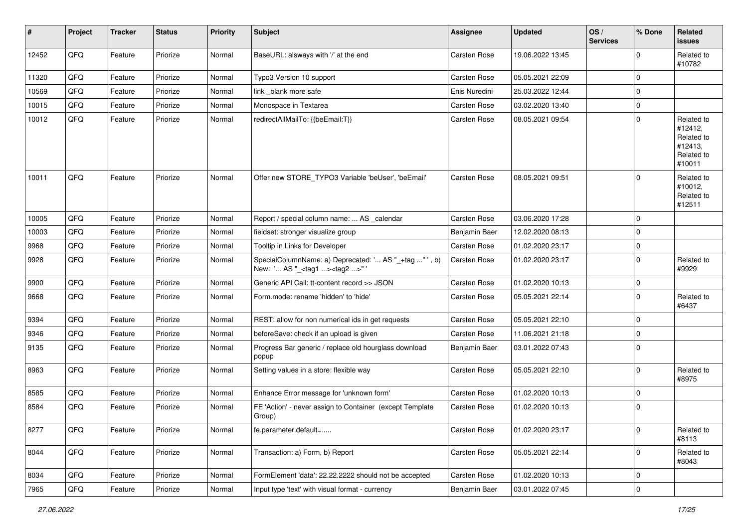| #     | Project | <b>Tracker</b> | <b>Status</b> | <b>Priority</b> | Subject                                                                                           | Assignee      | <b>Updated</b>   | OS/<br><b>Services</b> | % Done      | Related<br>issues                                                      |
|-------|---------|----------------|---------------|-----------------|---------------------------------------------------------------------------------------------------|---------------|------------------|------------------------|-------------|------------------------------------------------------------------------|
| 12452 | QFQ     | Feature        | Priorize      | Normal          | BaseURL: alsways with '/' at the end                                                              | Carsten Rose  | 19.06.2022 13:45 |                        | $\mathbf 0$ | Related to<br>#10782                                                   |
| 11320 | QFQ     | Feature        | Priorize      | Normal          | Typo3 Version 10 support                                                                          | Carsten Rose  | 05.05.2021 22:09 |                        | $\mathbf 0$ |                                                                        |
| 10569 | QFQ     | Feature        | Priorize      | Normal          | link_blank more safe                                                                              | Enis Nuredini | 25.03.2022 12:44 |                        | 0           |                                                                        |
| 10015 | QFQ     | Feature        | Priorize      | Normal          | Monospace in Textarea                                                                             | Carsten Rose  | 03.02.2020 13:40 |                        | $\mathbf 0$ |                                                                        |
| 10012 | QFQ     | Feature        | Priorize      | Normal          | redirectAllMailTo: {{beEmail:T}}                                                                  | Carsten Rose  | 08.05.2021 09:54 |                        | $\mathbf 0$ | Related to<br>#12412,<br>Related to<br>#12413,<br>Related to<br>#10011 |
| 10011 | QFQ     | Feature        | Priorize      | Normal          | Offer new STORE_TYPO3 Variable 'beUser', 'beEmail'                                                | Carsten Rose  | 08.05.2021 09:51 |                        | $\mathbf 0$ | Related to<br>#10012,<br>Related to<br>#12511                          |
| 10005 | QFQ     | Feature        | Priorize      | Normal          | Report / special column name:  AS _calendar                                                       | Carsten Rose  | 03.06.2020 17:28 |                        | $\mathbf 0$ |                                                                        |
| 10003 | QFQ     | Feature        | Priorize      | Normal          | fieldset: stronger visualize group                                                                | Benjamin Baer | 12.02.2020 08:13 |                        | $\mathbf 0$ |                                                                        |
| 9968  | QFQ     | Feature        | Priorize      | Normal          | Tooltip in Links for Developer                                                                    | Carsten Rose  | 01.02.2020 23:17 |                        | $\mathbf 0$ |                                                                        |
| 9928  | QFQ     | Feature        | Priorize      | Normal          | SpecialColumnName: a) Deprecated: ' AS "_+tag " ', b)<br>New: ' AS "_ <tag1><tag2>"</tag2></tag1> | Carsten Rose  | 01.02.2020 23:17 |                        | $\mathbf 0$ | Related to<br>#9929                                                    |
| 9900  | QFQ     | Feature        | Priorize      | Normal          | Generic API Call: tt-content record >> JSON                                                       | Carsten Rose  | 01.02.2020 10:13 |                        | $\pmb{0}$   |                                                                        |
| 9668  | QFQ     | Feature        | Priorize      | Normal          | Form.mode: rename 'hidden' to 'hide'                                                              | Carsten Rose  | 05.05.2021 22:14 |                        | $\mathbf 0$ | Related to<br>#6437                                                    |
| 9394  | QFQ     | Feature        | Priorize      | Normal          | REST: allow for non numerical ids in get requests                                                 | Carsten Rose  | 05.05.2021 22:10 |                        | $\mathbf 0$ |                                                                        |
| 9346  | QFQ     | Feature        | Priorize      | Normal          | beforeSave: check if an upload is given                                                           | Carsten Rose  | 11.06.2021 21:18 |                        | $\pmb{0}$   |                                                                        |
| 9135  | QFQ     | Feature        | Priorize      | Normal          | Progress Bar generic / replace old hourglass download<br>popup                                    | Benjamin Baer | 03.01.2022 07:43 |                        | $\mathbf 0$ |                                                                        |
| 8963  | QFQ     | Feature        | Priorize      | Normal          | Setting values in a store: flexible way                                                           | Carsten Rose  | 05.05.2021 22:10 |                        | $\mathbf 0$ | Related to<br>#8975                                                    |
| 8585  | QFQ     | Feature        | Priorize      | Normal          | Enhance Error message for 'unknown form'                                                          | Carsten Rose  | 01.02.2020 10:13 |                        | $\mathbf 0$ |                                                                        |
| 8584  | QFQ     | Feature        | Priorize      | Normal          | FE 'Action' - never assign to Container (except Template<br>Group)                                | Carsten Rose  | 01.02.2020 10:13 |                        | $\mathbf 0$ |                                                                        |
| 8277  | QFO     | Feature        | Priorize      | Normal          | fe.parameter.default=                                                                             | Carsten Rose  | 01.02.2020 23:17 |                        | $\mathbf 0$ | Related to<br>#8113                                                    |
| 8044  | QFQ     | Feature        | Priorize      | Normal          | Transaction: a) Form, b) Report                                                                   | Carsten Rose  | 05.05.2021 22:14 |                        | $\mathbf 0$ | Related to<br>#8043                                                    |
| 8034  | QFQ     | Feature        | Priorize      | Normal          | FormElement 'data': 22.22.2222 should not be accepted                                             | Carsten Rose  | 01.02.2020 10:13 |                        | $\mathbf 0$ |                                                                        |
| 7965  | QFG     | Feature        | Priorize      | Normal          | Input type 'text' with visual format - currency                                                   | Benjamin Baer | 03.01.2022 07:45 |                        | $\pmb{0}$   |                                                                        |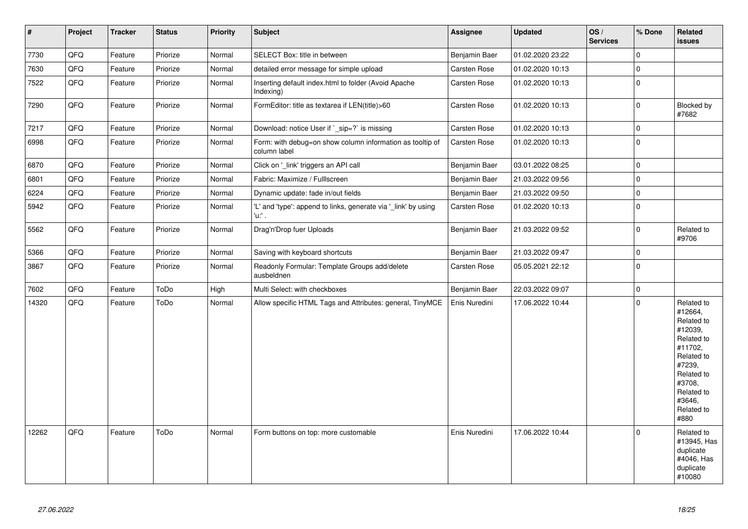| $\vert$ # | Project | <b>Tracker</b> | <b>Status</b> | <b>Priority</b> | Subject                                                                   | <b>Assignee</b>     | <b>Updated</b>   | OS/<br><b>Services</b> | % Done      | Related<br>issues                                                                                                                                                     |
|-----------|---------|----------------|---------------|-----------------|---------------------------------------------------------------------------|---------------------|------------------|------------------------|-------------|-----------------------------------------------------------------------------------------------------------------------------------------------------------------------|
| 7730      | QFO     | Feature        | Priorize      | Normal          | SELECT Box: title in between                                              | Benjamin Baer       | 01.02.2020 23:22 |                        | $\pmb{0}$   |                                                                                                                                                                       |
| 7630      | QFQ     | Feature        | Priorize      | Normal          | detailed error message for simple upload                                  | <b>Carsten Rose</b> | 01.02.2020 10:13 |                        | $\mathbf 0$ |                                                                                                                                                                       |
| 7522      | QFQ     | Feature        | Priorize      | Normal          | Inserting default index.html to folder (Avoid Apache<br>Indexing)         | Carsten Rose        | 01.02.2020 10:13 |                        | $\pmb{0}$   |                                                                                                                                                                       |
| 7290      | QFQ     | Feature        | Priorize      | Normal          | FormEditor: title as textarea if LEN(title)>60                            | Carsten Rose        | 01.02.2020 10:13 |                        | $\mathbf 0$ | Blocked by<br>#7682                                                                                                                                                   |
| 7217      | QFQ     | Feature        | Priorize      | Normal          | Download: notice User if `_sip=?` is missing                              | Carsten Rose        | 01.02.2020 10:13 |                        | $\mathbf 0$ |                                                                                                                                                                       |
| 6998      | QFQ     | Feature        | Priorize      | Normal          | Form: with debug=on show column information as tooltip of<br>column label | <b>Carsten Rose</b> | 01.02.2020 10:13 |                        | $\mathbf 0$ |                                                                                                                                                                       |
| 6870      | QFQ     | Feature        | Priorize      | Normal          | Click on '_link' triggers an API call                                     | Benjamin Baer       | 03.01.2022 08:25 |                        | $\pmb{0}$   |                                                                                                                                                                       |
| 6801      | QFQ     | Feature        | Priorize      | Normal          | Fabric: Maximize / Fulllscreen                                            | Benjamin Baer       | 21.03.2022 09:56 |                        | $\mathbf 0$ |                                                                                                                                                                       |
| 6224      | QFQ     | Feature        | Priorize      | Normal          | Dynamic update: fade in/out fields                                        | Benjamin Baer       | 21.03.2022 09:50 |                        | $\pmb{0}$   |                                                                                                                                                                       |
| 5942      | QFQ     | Feature        | Priorize      | Normal          | 'L' and 'type': append to links, generate via 'link' by using<br>'u:' .   | <b>Carsten Rose</b> | 01.02.2020 10:13 |                        | $\mathbf 0$ |                                                                                                                                                                       |
| 5562      | QFQ     | Feature        | Priorize      | Normal          | Drag'n'Drop fuer Uploads                                                  | Benjamin Baer       | 21.03.2022 09:52 |                        | $\pmb{0}$   | Related to<br>#9706                                                                                                                                                   |
| 5366      | QFQ     | Feature        | Priorize      | Normal          | Saving with keyboard shortcuts                                            | Benjamin Baer       | 21.03.2022 09:47 |                        | $\pmb{0}$   |                                                                                                                                                                       |
| 3867      | QFQ     | Feature        | Priorize      | Normal          | Readonly Formular: Template Groups add/delete<br>ausbeldnen               | <b>Carsten Rose</b> | 05.05.2021 22:12 |                        | $\mathbf 0$ |                                                                                                                                                                       |
| 7602      | QFQ     | Feature        | ToDo          | High            | Multi Select: with checkboxes                                             | Benjamin Baer       | 22.03.2022 09:07 |                        | $\mathbf 0$ |                                                                                                                                                                       |
| 14320     | QFQ     | Feature        | ToDo          | Normal          | Allow specific HTML Tags and Attributes: general, TinyMCE                 | Enis Nuredini       | 17.06.2022 10:44 |                        | $\pmb{0}$   | Related to<br>#12664,<br>Related to<br>#12039,<br>Related to<br>#11702,<br>Related to<br>#7239,<br>Related to<br>#3708,<br>Related to<br>#3646,<br>Related to<br>#880 |
| 12262     | QFQ     | Feature        | ToDo          | Normal          | Form buttons on top: more customable                                      | Enis Nuredini       | 17.06.2022 10:44 |                        | $\Omega$    | Related to<br>#13945, Has<br>duplicate<br>#4046, Has<br>duplicate<br>#10080                                                                                           |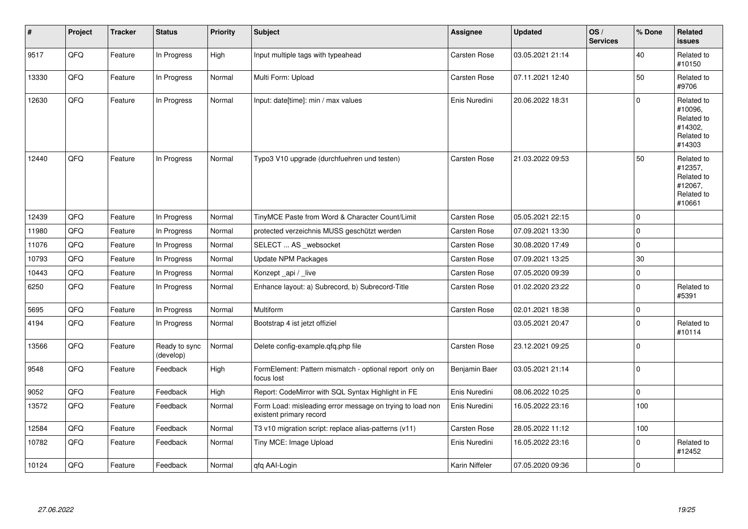| #     | Project | <b>Tracker</b> | <b>Status</b>              | <b>Priority</b> | <b>Subject</b>                                                                       | Assignee       | <b>Updated</b>   | OS/<br><b>Services</b> | % Done      | Related<br>issues                                                      |
|-------|---------|----------------|----------------------------|-----------------|--------------------------------------------------------------------------------------|----------------|------------------|------------------------|-------------|------------------------------------------------------------------------|
| 9517  | QFO     | Feature        | In Progress                | High            | Input multiple tags with typeahead                                                   | Carsten Rose   | 03.05.2021 21:14 |                        | 40          | Related to<br>#10150                                                   |
| 13330 | QFQ     | Feature        | In Progress                | Normal          | Multi Form: Upload                                                                   | Carsten Rose   | 07.11.2021 12:40 |                        | 50          | Related to<br>#9706                                                    |
| 12630 | QFQ     | Feature        | In Progress                | Normal          | Input: date[time]: min / max values                                                  | Enis Nuredini  | 20.06.2022 18:31 |                        | $\Omega$    | Related to<br>#10096,<br>Related to<br>#14302,<br>Related to<br>#14303 |
| 12440 | QFQ     | Feature        | In Progress                | Normal          | Typo3 V10 upgrade (durchfuehren und testen)                                          | Carsten Rose   | 21.03.2022 09:53 |                        | 50          | Related to<br>#12357,<br>Related to<br>#12067,<br>Related to<br>#10661 |
| 12439 | QFQ     | Feature        | In Progress                | Normal          | TinyMCE Paste from Word & Character Count/Limit                                      | Carsten Rose   | 05.05.2021 22:15 |                        | $\Omega$    |                                                                        |
| 11980 | QFQ     | Feature        | In Progress                | Normal          | protected verzeichnis MUSS geschützt werden                                          | Carsten Rose   | 07.09.2021 13:30 |                        | 0           |                                                                        |
| 11076 | QFQ     | Feature        | In Progress                | Normal          | SELECT  AS websocket                                                                 | Carsten Rose   | 30.08.2020 17:49 |                        | $\Omega$    |                                                                        |
| 10793 | QFQ     | Feature        | In Progress                | Normal          | Update NPM Packages                                                                  | Carsten Rose   | 07.09.2021 13:25 |                        | $30\,$      |                                                                        |
| 10443 | QFQ     | Feature        | In Progress                | Normal          | Konzept_api / _live                                                                  | Carsten Rose   | 07.05.2020 09:39 |                        | $\mathbf 0$ |                                                                        |
| 6250  | QFQ     | Feature        | In Progress                | Normal          | Enhance layout: a) Subrecord, b) Subrecord-Title                                     | Carsten Rose   | 01.02.2020 23:22 |                        | $\Omega$    | Related to<br>#5391                                                    |
| 5695  | QFQ     | Feature        | In Progress                | Normal          | Multiform                                                                            | Carsten Rose   | 02.01.2021 18:38 |                        | $\mathbf 0$ |                                                                        |
| 4194  | QFQ     | Feature        | In Progress                | Normal          | Bootstrap 4 ist jetzt offiziel                                                       |                | 03.05.2021 20:47 |                        | $\Omega$    | Related to<br>#10114                                                   |
| 13566 | QFQ     | Feature        | Ready to sync<br>(develop) | Normal          | Delete config-example.gfg.php file                                                   | Carsten Rose   | 23.12.2021 09:25 |                        | $\mathbf 0$ |                                                                        |
| 9548  | QFQ     | Feature        | Feedback                   | High            | FormElement: Pattern mismatch - optional report only on<br>focus lost                | Benjamin Baer  | 03.05.2021 21:14 |                        | $\mathbf 0$ |                                                                        |
| 9052  | QFQ     | Feature        | Feedback                   | High            | Report: CodeMirror with SQL Syntax Highlight in FE                                   | Enis Nuredini  | 08.06.2022 10:25 |                        | 0           |                                                                        |
| 13572 | QFQ     | Feature        | Feedback                   | Normal          | Form Load: misleading error message on trying to load non<br>existent primary record | Enis Nuredini  | 16.05.2022 23:16 |                        | 100         |                                                                        |
| 12584 | QFQ     | Feature        | Feedback                   | Normal          | T3 v10 migration script: replace alias-patterns (v11)                                | Carsten Rose   | 28.05.2022 11:12 |                        | 100         |                                                                        |
| 10782 | QFQ     | Feature        | Feedback                   | Normal          | Tiny MCE: Image Upload                                                               | Enis Nuredini  | 16.05.2022 23:16 |                        | $\Omega$    | Related to<br>#12452                                                   |
| 10124 | QFQ     | Feature        | Feedback                   | Normal          | qfq AAI-Login                                                                        | Karin Niffeler | 07.05.2020 09:36 |                        | $\Omega$    |                                                                        |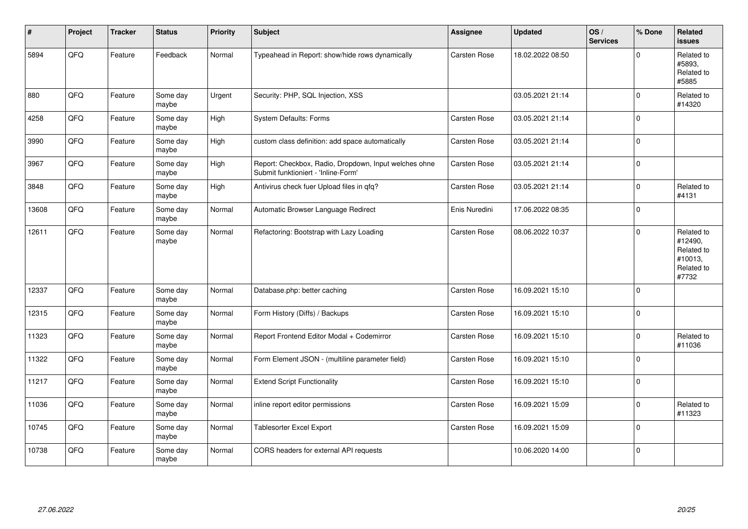| #     | Project | <b>Tracker</b> | <b>Status</b>     | <b>Priority</b> | <b>Subject</b>                                                                               | Assignee            | <b>Updated</b>   | OS/<br><b>Services</b> | % Done       | Related<br><b>issues</b>                                              |
|-------|---------|----------------|-------------------|-----------------|----------------------------------------------------------------------------------------------|---------------------|------------------|------------------------|--------------|-----------------------------------------------------------------------|
| 5894  | QFQ     | Feature        | Feedback          | Normal          | Typeahead in Report: show/hide rows dynamically                                              | Carsten Rose        | 18.02.2022 08:50 |                        | $\Omega$     | Related to<br>#5893,<br>Related to<br>#5885                           |
| 880   | QFQ     | Feature        | Some day<br>maybe | Urgent          | Security: PHP, SQL Injection, XSS                                                            |                     | 03.05.2021 21:14 |                        | $\mathbf 0$  | Related to<br>#14320                                                  |
| 4258  | QFQ     | Feature        | Some day<br>maybe | High            | System Defaults: Forms                                                                       | Carsten Rose        | 03.05.2021 21:14 |                        | $\mathbf 0$  |                                                                       |
| 3990  | QFQ     | Feature        | Some day<br>maybe | High            | custom class definition: add space automatically                                             | Carsten Rose        | 03.05.2021 21:14 |                        | $\pmb{0}$    |                                                                       |
| 3967  | QFQ     | Feature        | Some day<br>maybe | High            | Report: Checkbox, Radio, Dropdown, Input welches ohne<br>Submit funktioniert - 'Inline-Form' | Carsten Rose        | 03.05.2021 21:14 |                        | $\mathbf 0$  |                                                                       |
| 3848  | QFQ     | Feature        | Some day<br>maybe | High            | Antivirus check fuer Upload files in qfq?                                                    | Carsten Rose        | 03.05.2021 21:14 |                        | $\mathbf 0$  | Related to<br>#4131                                                   |
| 13608 | QFQ     | Feature        | Some day<br>maybe | Normal          | Automatic Browser Language Redirect                                                          | Enis Nuredini       | 17.06.2022 08:35 |                        | $\mathbf 0$  |                                                                       |
| 12611 | QFQ     | Feature        | Some day<br>maybe | Normal          | Refactoring: Bootstrap with Lazy Loading                                                     | <b>Carsten Rose</b> | 08.06.2022 10:37 |                        | $\mathbf{0}$ | Related to<br>#12490,<br>Related to<br>#10013,<br>Related to<br>#7732 |
| 12337 | QFQ     | Feature        | Some day<br>maybe | Normal          | Database.php: better caching                                                                 | Carsten Rose        | 16.09.2021 15:10 |                        | $\Omega$     |                                                                       |
| 12315 | QFQ     | Feature        | Some day<br>maybe | Normal          | Form History (Diffs) / Backups                                                               | <b>Carsten Rose</b> | 16.09.2021 15:10 |                        | $\mathbf 0$  |                                                                       |
| 11323 | QFQ     | Feature        | Some day<br>maybe | Normal          | Report Frontend Editor Modal + Codemirror                                                    | <b>Carsten Rose</b> | 16.09.2021 15:10 |                        | $\mathbf 0$  | Related to<br>#11036                                                  |
| 11322 | QFQ     | Feature        | Some day<br>maybe | Normal          | Form Element JSON - (multiline parameter field)                                              | Carsten Rose        | 16.09.2021 15:10 |                        | $\mathbf 0$  |                                                                       |
| 11217 | QFQ     | Feature        | Some day<br>maybe | Normal          | <b>Extend Script Functionality</b>                                                           | <b>Carsten Rose</b> | 16.09.2021 15:10 |                        | $\mathbf 0$  |                                                                       |
| 11036 | QFQ     | Feature        | Some day<br>maybe | Normal          | inline report editor permissions                                                             | Carsten Rose        | 16.09.2021 15:09 |                        | $\mathbf 0$  | Related to<br>#11323                                                  |
| 10745 | QFQ     | Feature        | Some day<br>maybe | Normal          | Tablesorter Excel Export                                                                     | Carsten Rose        | 16.09.2021 15:09 |                        | $\mathbf 0$  |                                                                       |
| 10738 | QFQ     | Feature        | Some day<br>maybe | Normal          | CORS headers for external API requests                                                       |                     | 10.06.2020 14:00 |                        | $\mathbf 0$  |                                                                       |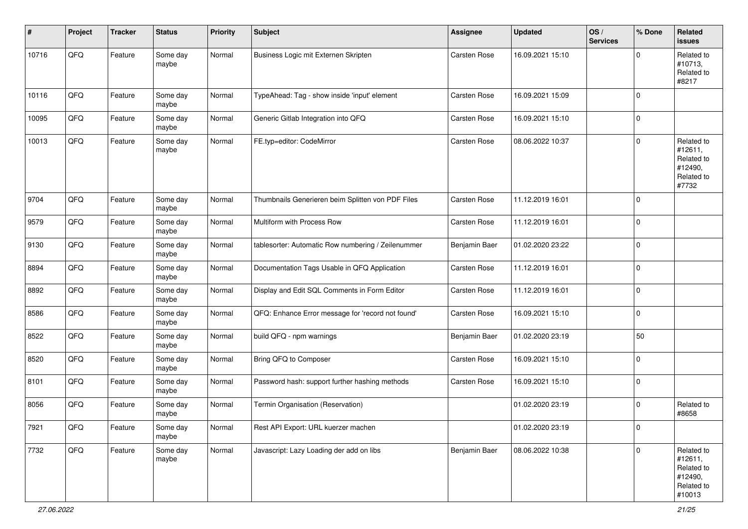| #     | Project        | <b>Tracker</b> | <b>Status</b>     | <b>Priority</b> | <b>Subject</b>                                     | <b>Assignee</b> | <b>Updated</b>   | OS/<br><b>Services</b> | % Done         | <b>Related</b><br>issues                                               |
|-------|----------------|----------------|-------------------|-----------------|----------------------------------------------------|-----------------|------------------|------------------------|----------------|------------------------------------------------------------------------|
| 10716 | QFQ            | Feature        | Some day<br>maybe | Normal          | Business Logic mit Externen Skripten               | Carsten Rose    | 16.09.2021 15:10 |                        | $\Omega$       | Related to<br>#10713,<br>Related to<br>#8217                           |
| 10116 | QFQ            | Feature        | Some day<br>maybe | Normal          | TypeAhead: Tag - show inside 'input' element       | Carsten Rose    | 16.09.2021 15:09 |                        | $\mathbf 0$    |                                                                        |
| 10095 | QFQ            | Feature        | Some day<br>maybe | Normal          | Generic Gitlab Integration into QFQ                | Carsten Rose    | 16.09.2021 15:10 |                        | $\mathbf 0$    |                                                                        |
| 10013 | QFQ            | Feature        | Some day<br>maybe | Normal          | FE.typ=editor: CodeMirror                          | Carsten Rose    | 08.06.2022 10:37 |                        | $\mathbf 0$    | Related to<br>#12611,<br>Related to<br>#12490,<br>Related to<br>#7732  |
| 9704  | QFQ            | Feature        | Some day<br>maybe | Normal          | Thumbnails Generieren beim Splitten von PDF Files  | Carsten Rose    | 11.12.2019 16:01 |                        | $\mathbf 0$    |                                                                        |
| 9579  | QFQ            | Feature        | Some day<br>maybe | Normal          | Multiform with Process Row                         | Carsten Rose    | 11.12.2019 16:01 |                        | $\mathbf 0$    |                                                                        |
| 9130  | QFQ            | Feature        | Some day<br>maybe | Normal          | tablesorter: Automatic Row numbering / Zeilenummer | Benjamin Baer   | 01.02.2020 23:22 |                        | 0              |                                                                        |
| 8894  | QFQ            | Feature        | Some day<br>maybe | Normal          | Documentation Tags Usable in QFQ Application       | Carsten Rose    | 11.12.2019 16:01 |                        | $\mathbf 0$    |                                                                        |
| 8892  | QFQ            | Feature        | Some day<br>maybe | Normal          | Display and Edit SQL Comments in Form Editor       | Carsten Rose    | 11.12.2019 16:01 |                        | $\mathbf 0$    |                                                                        |
| 8586  | QFQ            | Feature        | Some day<br>maybe | Normal          | QFQ: Enhance Error message for 'record not found'  | Carsten Rose    | 16.09.2021 15:10 |                        | $\mathbf 0$    |                                                                        |
| 8522  | QFQ            | Feature        | Some day<br>maybe | Normal          | build QFQ - npm warnings                           | Benjamin Baer   | 01.02.2020 23:19 |                        | 50             |                                                                        |
| 8520  | QFQ            | Feature        | Some day<br>maybe | Normal          | Bring QFQ to Composer                              | Carsten Rose    | 16.09.2021 15:10 |                        | $\mathbf 0$    |                                                                        |
| 8101  | QFQ            | Feature        | Some day<br>maybe | Normal          | Password hash: support further hashing methods     | Carsten Rose    | 16.09.2021 15:10 |                        | $\mathbf 0$    |                                                                        |
| 8056  | QFQ            | Feature        | Some day<br>maybe | Normal          | Termin Organisation (Reservation)                  |                 | 01.02.2020 23:19 |                        | 0              | Related to<br>#8658                                                    |
| 7921  | $\mathsf{QFQ}$ | Feature        | Some day<br>maybe | Normal          | Rest API Export: URL kuerzer machen                |                 | 01.02.2020 23:19 |                        | $\overline{0}$ |                                                                        |
| 7732  | QFQ            | Feature        | Some day<br>maybe | Normal          | Javascript: Lazy Loading der add on libs           | Benjamin Baer   | 08.06.2022 10:38 |                        | $\mathbf 0$    | Related to<br>#12611,<br>Related to<br>#12490,<br>Related to<br>#10013 |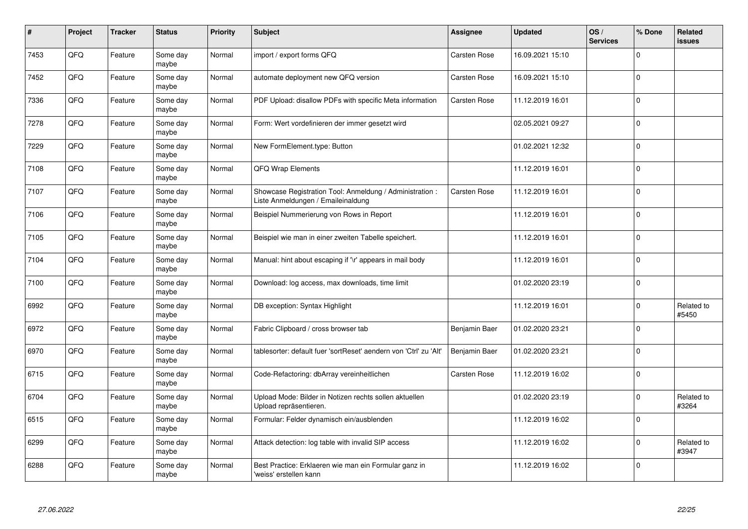| #    | Project | <b>Tracker</b> | <b>Status</b>     | <b>Priority</b> | <b>Subject</b>                                                                                 | <b>Assignee</b>     | <b>Updated</b>   | OS/<br><b>Services</b> | % Done       | <b>Related</b><br><b>issues</b> |
|------|---------|----------------|-------------------|-----------------|------------------------------------------------------------------------------------------------|---------------------|------------------|------------------------|--------------|---------------------------------|
| 7453 | QFQ     | Feature        | Some day<br>maybe | Normal          | import / export forms QFQ                                                                      | <b>Carsten Rose</b> | 16.09.2021 15:10 |                        | $\Omega$     |                                 |
| 7452 | QFQ     | Feature        | Some day<br>maybe | Normal          | automate deployment new QFQ version                                                            | Carsten Rose        | 16.09.2021 15:10 |                        | $\mathbf 0$  |                                 |
| 7336 | QFQ     | Feature        | Some day<br>maybe | Normal          | PDF Upload: disallow PDFs with specific Meta information                                       | Carsten Rose        | 11.12.2019 16:01 |                        | $\mathbf 0$  |                                 |
| 7278 | QFQ     | Feature        | Some day<br>maybe | Normal          | Form: Wert vordefinieren der immer gesetzt wird                                                |                     | 02.05.2021 09:27 |                        | $\Omega$     |                                 |
| 7229 | QFQ     | Feature        | Some day<br>maybe | Normal          | New FormElement.type: Button                                                                   |                     | 01.02.2021 12:32 |                        | $\mathbf 0$  |                                 |
| 7108 | QFQ     | Feature        | Some day<br>maybe | Normal          | QFQ Wrap Elements                                                                              |                     | 11.12.2019 16:01 |                        | $\mathbf{0}$ |                                 |
| 7107 | QFQ     | Feature        | Some day<br>maybe | Normal          | Showcase Registration Tool: Anmeldung / Administration :<br>Liste Anmeldungen / Emaileinaldung | Carsten Rose        | 11.12.2019 16:01 |                        | $\mathbf 0$  |                                 |
| 7106 | QFQ     | Feature        | Some day<br>maybe | Normal          | Beispiel Nummerierung von Rows in Report                                                       |                     | 11.12.2019 16:01 |                        | $\Omega$     |                                 |
| 7105 | QFQ     | Feature        | Some day<br>maybe | Normal          | Beispiel wie man in einer zweiten Tabelle speichert.                                           |                     | 11.12.2019 16:01 |                        | $\mathbf 0$  |                                 |
| 7104 | QFQ     | Feature        | Some day<br>maybe | Normal          | Manual: hint about escaping if '\r' appears in mail body                                       |                     | 11.12.2019 16:01 |                        | $\pmb{0}$    |                                 |
| 7100 | QFQ     | Feature        | Some day<br>maybe | Normal          | Download: log access, max downloads, time limit                                                |                     | 01.02.2020 23:19 |                        | $\mathbf 0$  |                                 |
| 6992 | QFQ     | Feature        | Some day<br>maybe | Normal          | DB exception: Syntax Highlight                                                                 |                     | 11.12.2019 16:01 |                        | $\mathbf 0$  | Related to<br>#5450             |
| 6972 | QFQ     | Feature        | Some day<br>maybe | Normal          | Fabric Clipboard / cross browser tab                                                           | Benjamin Baer       | 01.02.2020 23:21 |                        | $\mathbf{0}$ |                                 |
| 6970 | QFQ     | Feature        | Some day<br>maybe | Normal          | tablesorter: default fuer 'sortReset' aendern von 'Ctrl' zu 'Alt'                              | Benjamin Baer       | 01.02.2020 23:21 |                        | $\pmb{0}$    |                                 |
| 6715 | QFQ     | Feature        | Some day<br>maybe | Normal          | Code-Refactoring: dbArray vereinheitlichen                                                     | Carsten Rose        | 11.12.2019 16:02 |                        | $\Omega$     |                                 |
| 6704 | QFQ     | Feature        | Some day<br>maybe | Normal          | Upload Mode: Bilder in Notizen rechts sollen aktuellen<br>Upload repräsentieren.               |                     | 01.02.2020 23:19 |                        | $\mathbf 0$  | Related to<br>#3264             |
| 6515 | QFQ     | Feature        | Some day<br>maybe | Normal          | Formular: Felder dynamisch ein/ausblenden                                                      |                     | 11.12.2019 16:02 |                        | $\mathbf{0}$ |                                 |
| 6299 | QFQ     | Feature        | Some day<br>maybe | Normal          | Attack detection: log table with invalid SIP access                                            |                     | 11.12.2019 16:02 |                        | $\pmb{0}$    | Related to<br>#3947             |
| 6288 | QFQ     | Feature        | Some day<br>maybe | Normal          | Best Practice: Erklaeren wie man ein Formular ganz in<br>'weiss' erstellen kann                |                     | 11.12.2019 16:02 |                        | $\Omega$     |                                 |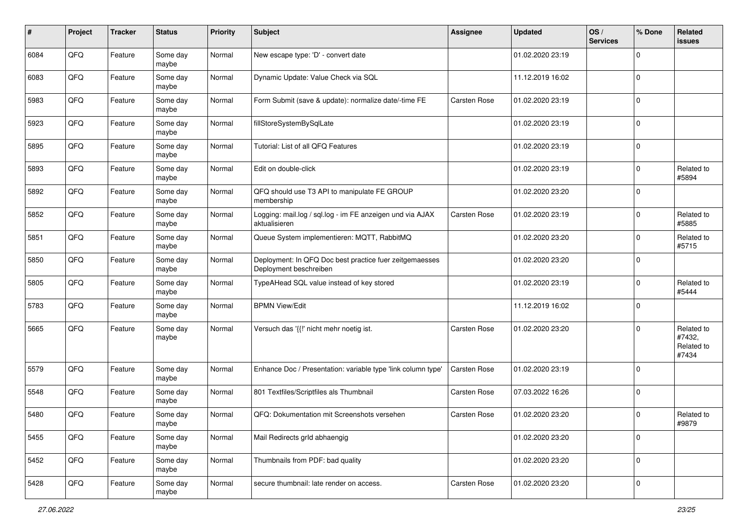| #    | Project | <b>Tracker</b> | <b>Status</b>     | <b>Priority</b> | <b>Subject</b>                                                                    | <b>Assignee</b> | <b>Updated</b>   | OS/<br><b>Services</b> | % Done      | <b>Related</b><br>issues                    |
|------|---------|----------------|-------------------|-----------------|-----------------------------------------------------------------------------------|-----------------|------------------|------------------------|-------------|---------------------------------------------|
| 6084 | QFQ     | Feature        | Some day<br>maybe | Normal          | New escape type: 'D' - convert date                                               |                 | 01.02.2020 23:19 |                        | $\Omega$    |                                             |
| 6083 | QFQ     | Feature        | Some day<br>maybe | Normal          | Dynamic Update: Value Check via SQL                                               |                 | 11.12.2019 16:02 |                        | $\Omega$    |                                             |
| 5983 | QFQ     | Feature        | Some day<br>maybe | Normal          | Form Submit (save & update): normalize date/-time FE                              | Carsten Rose    | 01.02.2020 23:19 |                        | $\Omega$    |                                             |
| 5923 | QFQ     | Feature        | Some day<br>maybe | Normal          | fillStoreSystemBySqlLate                                                          |                 | 01.02.2020 23:19 |                        | $\Omega$    |                                             |
| 5895 | QFQ     | Feature        | Some day<br>maybe | Normal          | Tutorial: List of all QFQ Features                                                |                 | 01.02.2020 23:19 |                        | $\Omega$    |                                             |
| 5893 | QFQ     | Feature        | Some day<br>maybe | Normal          | Edit on double-click                                                              |                 | 01.02.2020 23:19 |                        | $\Omega$    | Related to<br>#5894                         |
| 5892 | QFQ     | Feature        | Some day<br>maybe | Normal          | QFQ should use T3 API to manipulate FE GROUP<br>membership                        |                 | 01.02.2020 23:20 |                        | $\Omega$    |                                             |
| 5852 | QFQ     | Feature        | Some day<br>maybe | Normal          | Logging: mail.log / sql.log - im FE anzeigen und via AJAX<br>aktualisieren        | Carsten Rose    | 01.02.2020 23:19 |                        | $\Omega$    | Related to<br>#5885                         |
| 5851 | QFQ     | Feature        | Some day<br>maybe | Normal          | Queue System implementieren: MQTT, RabbitMQ                                       |                 | 01.02.2020 23:20 |                        | $\mathbf 0$ | Related to<br>#5715                         |
| 5850 | QFQ     | Feature        | Some day<br>maybe | Normal          | Deployment: In QFQ Doc best practice fuer zeitgemaesses<br>Deployment beschreiben |                 | 01.02.2020 23:20 |                        | $\Omega$    |                                             |
| 5805 | QFQ     | Feature        | Some day<br>maybe | Normal          | TypeAHead SQL value instead of key stored                                         |                 | 01.02.2020 23:19 |                        | $\Omega$    | Related to<br>#5444                         |
| 5783 | QFQ     | Feature        | Some day<br>maybe | Normal          | <b>BPMN View/Edit</b>                                                             |                 | 11.12.2019 16:02 |                        | $\Omega$    |                                             |
| 5665 | QFQ     | Feature        | Some day<br>maybe | Normal          | Versuch das '{{!' nicht mehr noetig ist.                                          | Carsten Rose    | 01.02.2020 23:20 |                        | $\Omega$    | Related to<br>#7432,<br>Related to<br>#7434 |
| 5579 | QFQ     | Feature        | Some day<br>maybe | Normal          | Enhance Doc / Presentation: variable type 'link column type'                      | Carsten Rose    | 01.02.2020 23:19 |                        | $\Omega$    |                                             |
| 5548 | QFQ     | Feature        | Some day<br>maybe | Normal          | 801 Textfiles/Scriptfiles als Thumbnail                                           | Carsten Rose    | 07.03.2022 16:26 |                        | $\mathbf 0$ |                                             |
| 5480 | QFQ     | Feature        | Some day<br>maybe | Normal          | QFQ: Dokumentation mit Screenshots versehen                                       | Carsten Rose    | 01.02.2020 23:20 |                        | $\Omega$    | Related to<br>#9879                         |
| 5455 | QFQ     | Feature        | Some day<br>maybe | Normal          | Mail Redirects grld abhaengig                                                     |                 | 01.02.2020 23:20 |                        | $\mathbf 0$ |                                             |
| 5452 | QFQ     | Feature        | Some day<br>maybe | Normal          | Thumbnails from PDF: bad quality                                                  |                 | 01.02.2020 23:20 |                        | 0           |                                             |
| 5428 | QFQ     | Feature        | Some day<br>maybe | Normal          | secure thumbnail: late render on access.                                          | Carsten Rose    | 01.02.2020 23:20 |                        | $\pmb{0}$   |                                             |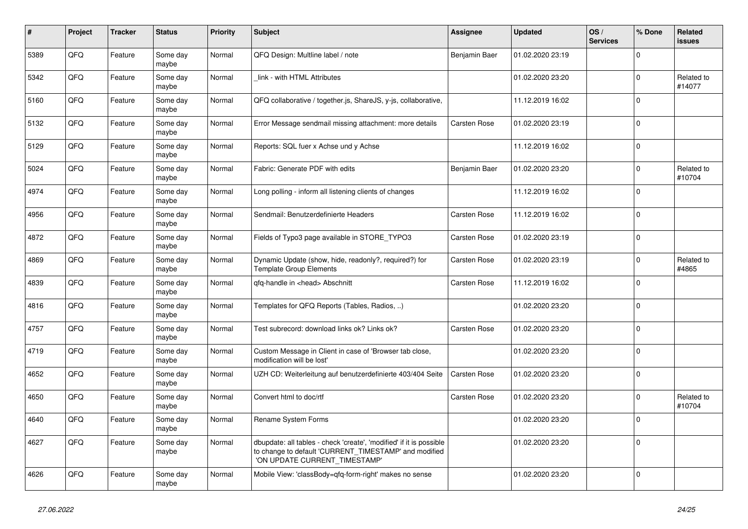| #    | Project | <b>Tracker</b> | <b>Status</b>     | <b>Priority</b> | <b>Subject</b>                                                                                                                                                | Assignee      | <b>Updated</b>   | OS/<br><b>Services</b> | % Done      | Related<br><b>issues</b> |
|------|---------|----------------|-------------------|-----------------|---------------------------------------------------------------------------------------------------------------------------------------------------------------|---------------|------------------|------------------------|-------------|--------------------------|
| 5389 | QFQ     | Feature        | Some day<br>maybe | Normal          | QFQ Design: Multline label / note                                                                                                                             | Benjamin Baer | 01.02.2020 23:19 |                        | $\Omega$    |                          |
| 5342 | QFQ     | Feature        | Some day<br>maybe | Normal          | link - with HTML Attributes                                                                                                                                   |               | 01.02.2020 23:20 |                        | $\mathbf 0$ | Related to<br>#14077     |
| 5160 | QFQ     | Feature        | Some day<br>maybe | Normal          | QFQ collaborative / together.js, ShareJS, y-js, collaborative,                                                                                                |               | 11.12.2019 16:02 |                        | $\mathbf 0$ |                          |
| 5132 | QFQ     | Feature        | Some day<br>maybe | Normal          | Error Message sendmail missing attachment: more details                                                                                                       | Carsten Rose  | 01.02.2020 23:19 |                        | $\Omega$    |                          |
| 5129 | QFQ     | Feature        | Some day<br>maybe | Normal          | Reports: SQL fuer x Achse und y Achse                                                                                                                         |               | 11.12.2019 16:02 |                        | $\mathbf 0$ |                          |
| 5024 | QFQ     | Feature        | Some day<br>maybe | Normal          | Fabric: Generate PDF with edits                                                                                                                               | Benjamin Baer | 01.02.2020 23:20 |                        | $\mathbf 0$ | Related to<br>#10704     |
| 4974 | QFQ     | Feature        | Some day<br>maybe | Normal          | Long polling - inform all listening clients of changes                                                                                                        |               | 11.12.2019 16:02 |                        | $\Omega$    |                          |
| 4956 | QFQ     | Feature        | Some day<br>maybe | Normal          | Sendmail: Benutzerdefinierte Headers                                                                                                                          | Carsten Rose  | 11.12.2019 16:02 |                        | $\mathbf 0$ |                          |
| 4872 | QFQ     | Feature        | Some day<br>maybe | Normal          | Fields of Typo3 page available in STORE_TYPO3                                                                                                                 | Carsten Rose  | 01.02.2020 23:19 |                        | $\Omega$    |                          |
| 4869 | QFQ     | Feature        | Some day<br>maybe | Normal          | Dynamic Update (show, hide, readonly?, required?) for<br><b>Template Group Elements</b>                                                                       | Carsten Rose  | 01.02.2020 23:19 |                        | $\mathbf 0$ | Related to<br>#4865      |
| 4839 | QFQ     | Feature        | Some day<br>maybe | Normal          | gfg-handle in <head> Abschnitt</head>                                                                                                                         | Carsten Rose  | 11.12.2019 16:02 |                        | $\mathbf 0$ |                          |
| 4816 | QFQ     | Feature        | Some day<br>maybe | Normal          | Templates for QFQ Reports (Tables, Radios, )                                                                                                                  |               | 01.02.2020 23:20 |                        | $\Omega$    |                          |
| 4757 | QFQ     | Feature        | Some day<br>maybe | Normal          | Test subrecord: download links ok? Links ok?                                                                                                                  | Carsten Rose  | 01.02.2020 23:20 |                        | $\mathbf 0$ |                          |
| 4719 | QFQ     | Feature        | Some day<br>maybe | Normal          | Custom Message in Client in case of 'Browser tab close,<br>modification will be lost'                                                                         |               | 01.02.2020 23:20 |                        | $\Omega$    |                          |
| 4652 | QFQ     | Feature        | Some day<br>maybe | Normal          | UZH CD: Weiterleitung auf benutzerdefinierte 403/404 Seite                                                                                                    | Carsten Rose  | 01.02.2020 23:20 |                        | $\mathbf 0$ |                          |
| 4650 | QFQ     | Feature        | Some day<br>maybe | Normal          | Convert html to doc/rtf                                                                                                                                       | Carsten Rose  | 01.02.2020 23:20 |                        | $\mathbf 0$ | Related to<br>#10704     |
| 4640 | QFQ     | Feature        | Some day<br>maybe | Normal          | Rename System Forms                                                                                                                                           |               | 01.02.2020 23:20 |                        | $\mathbf 0$ |                          |
| 4627 | QFQ     | Feature        | Some day<br>maybe | Normal          | dbupdate: all tables - check 'create', 'modified' if it is possible<br>to change to default 'CURRENT_TIMESTAMP' and modified<br>'ON UPDATE CURRENT_TIMESTAMP' |               | 01.02.2020 23:20 |                        | $\Omega$    |                          |
| 4626 | QFQ     | Feature        | Some day<br>maybe | Normal          | Mobile View: 'classBody=qfq-form-right' makes no sense                                                                                                        |               | 01.02.2020 23:20 |                        | $\mathbf 0$ |                          |